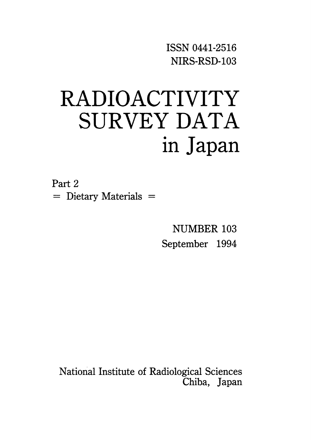ISSN 0441-2516 NIRS-RSD-103

# RADIOACTIVITY SURVEY DATA in Japan

Part 2  $=$  Dietary Materials  $=$ 

> **NUMBER 103** September 1994

National Institute of Radiological Sciences Chiba, Japan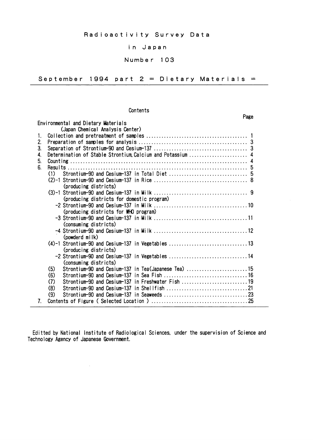#### in Japan

#### Number 103

September 1994 part  $2 =$  Dietary Materials =

#### Contents

Environmental and Dietary Materials (Japan Chemical Analysis Center) 1.  $2.$  $3.$ Determination of Stable Strontium, Calcium and Potassium ............................. 4  $\mathbf{A}$ 5.  $6^{\circ}$  $(1)$ (producing districts) (producing districts for domestic program) (producing districts for WHO program) (consuming districts) (powderd milk) (4)-1 Strontium-90 and Cesium-137 in Vegetables .................................13 (producing districts) -2 Strontium-90 and Cesium-137 in Vegetables .................................14 (consuming districts) Strontium-90 and Cesium-137 in Tea(Japanese Tea) ..............................15  $(5)$  $(6)$ Strontium-90 and Cesium-137 in Freshwater Fish ................................19  $(7)$  $(8)$  $(9)$  $7<sub>1</sub>$ 

Editted by National Institute of Radiological Sciences, under the supervision of Science and Technology Agency of Japanese Government.

#### Page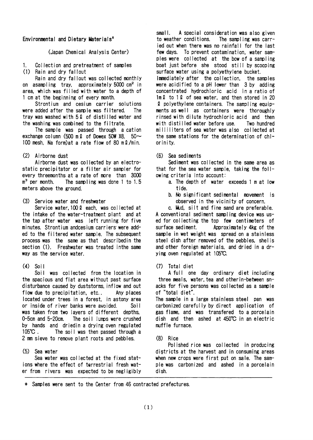#### Environmental and Dietary Materials<sup>\*</sup>

(Japan Chemical Analysis Center)

Collection and pretreatment of samples  $\mathbf{1}$ .

(1) Rain and dry fallout

Rain and dry fallout was collected monthly on asampling tray, approximately 5000 cm<sup>2</sup> in area, which was filled with water to a depth of 1 cm at the beginning of every month.

Strontium and cesium carrier solutions were added after the sample was filtered. The tray was washed with 52 of distilled water and the washing was combined to the filtrate.

The sample was passed through a cation exchange column (500 m  $\ell$  of Dowex 50W X8, 50 $\sim$ 100 mesh. Na form) at a rate flow of 80 m 2/min.

#### (2) Airborne dust

Airborne dust was collected by an electrostatic precipitator or a filter air sampler for every threemonths at a rate of more than 3000  $m<sup>3</sup>$  per month. The sampling was done 1 to 1.5 meters above the ground.

(3) Service water and freshwater

Service water, 100 2 each, was collected at the intake of the water-treatment plant and at the tap after water was left running for five minutes. Strontium andcesium carriers were added to the filtered water sample. The subsequent process was the same as that describedin the section (1). Freshwater was treated inthe same way as the service water.

#### $(4)$  Soil

Soil was collected from the location in the spacious and flat area without past surface disturbance caused by duststorms, inflow and out flow due to precipitation, etc.. Any places located under trees in a forest, in astony area or inside of river banks were avoided.  $Soi1$ was taken from two layers of different depths,  $0-5$ cm and  $5-20$ cm. The soil lumps were crushed by hands and driedin a drying oven regulated  $105^{\circ}$ C. The soil was then passed through a 2 mm sieve to remove plant roots and pebbles.

#### (5) Sea water

Sea water was collected at the fixed stations where the effect of terrestrial fresh water from rivers was expected to be negligibly

small. A special consideration was also given to weather conditions. The sampling was carried out when there was no rainfall for the last few days. To prevent contamination, water samples were collected at the bow of a sampling boat just before she stood still by scooping surface water using a polyethylene bucket. Immediately after the collection, the samples were acidified to a pH lower than 3 by adding concentrated hydrochloric acid in a ratio of  $1m\ell$  to 1  $\ell$  of sea water, and then stored in 20 2 polyethylene containers. The sampling equipments as well as containers were thoroughly rinsed with dilute hydrochloric acid and then with distilled water before use. Two hundred milliliters of sea water was also collected at the same stations for the determination of chiorinity.

#### Sea sediments  $(6)$

Sediment was collected in the same area as that for the sea water sample, taking the following criteria into account:

- a. The depth of water exceeds 1 m at low tide.
- b. No significant sedimental movement is observed in the vicinity of concern.

c. Mud, silt and fine sand are preferable.

A conventional sediment sampling device was used for collecting the top few centimeters of surface sediment. Approximately 4kg of the sample in wet weight was spread on a stainless steel dish after removed of the pebbles, shells and other foreign materials, and dried in a drying oven regulated at 105°C.

#### (7) Total diet

A full one day ordinary diet including three meals, water, tea and other in-between snacks for five persons was collected as a sample of "total diet".

The sample in a large stainless steel pan was carbonized carefully by direct application of gas flame, and was transfered to a porcelain dish and then ashed at 450°C in an electric muffle furnace.

#### $(8)$  Rice

Polished rice was collected in producing districts at the harvest and in consuming areas when new crops were first put on sale. The sample was carbonized and ashed in a porcelain dish.

\* Samples were sent to the Center from 46 contracted prefectures.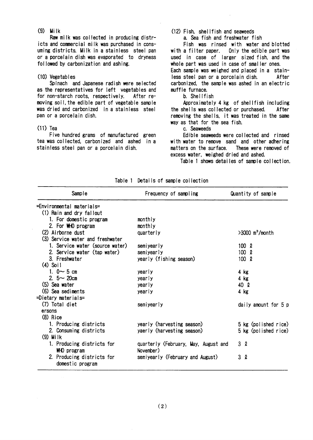$(9)$  Milk

Raw milk was collected in producing districts and commercial milk was purchased in consuming districts. Milk in a stainless steel pan or a porcelain dish was evaporated to dryness followed by carbonization and ashing.

#### (10) Vegetables

Spinach and Japanese radish were selected as the representatives for left vegetables and for non-starch roots, respectively, After removing soil, the edible part of vegetable sample was dried and carbonized in a stainless steel pan or a porcelain dish.

#### $(11)$  Tea

Five hundred grams of manufactured green tea was collected, carbonized and ashed in a stainless steel pan or a porcelain dish.

#### (12) Fish, shellfish and seaweeds

a. Sea fish and freshwater fish

Fish was rinsed with water and blotted with a filter paper. Only the edible part was used in case of larger sized fish, and the whole part was used in case of smaller ones. Each sample was weighed and placed in a stainless steel pan or a porcelain dish. After carbonized, the sample was ashed in an electric muffle furnace.

b. Shellfish

Approximately 4 kg of shellfish including the shells was collected or purchased. After removing the shells, it was treated in the same way as that for the sea fish.

c. Seaweeds

Edible seaweeds were collected and rinsed with water to remove sand and other adhering matters on the surface. These were removed of excess water, weighed dried and ashed.

Table 1 shows detailes of sample collection.

| Sample                           | Frequency of sampling                | Quantity of sample            |
|----------------------------------|--------------------------------------|-------------------------------|
| =Environmental_materials=        |                                      |                               |
| (1) Rain and dry fallout         |                                      |                               |
| 1. For domestic program          | monthly                              |                               |
| 2. For WHO program               | monthly                              |                               |
| (2) Airborne dust                | quarterly                            | $>3000$ m <sup>3</sup> /month |
| (3) Service water and freshwater |                                      |                               |
| 1. Service water (source water)  | semiyearly                           | 100 <sub>2</sub>              |
| 2. Service water (tap water)     | semiyearly                           | $100 \Omega$                  |
| 3. Freshwater                    | yearly (fishing season)              | 100R                          |
| $(4)$ Soil                       |                                      |                               |
| 1. $0 \sim 5$ cm                 | yearly                               | 4 kg                          |
| 2. $5 - 20$ cm                   | yearly                               | 4 kg                          |
| (5) Sea water                    | yearly                               | 40 Q                          |
| (6) Sea sediments                | yearly                               | $4$ kg                        |
| =Dietary materials=              |                                      |                               |
| (7) Total diet                   | semiyearly                           | daily amount for 5 p          |
| ersons                           |                                      |                               |
| $(8)$ Rice                       |                                      |                               |
| 1. Producing districts           | yearly (harvesting season)           | 5 kg (polished rice)          |
| 2. Consuming districts           | yaerly (harvesting season)           | 5 kg (polished rice)          |
| $(9)$ Milk                       |                                      |                               |
| 1. Producing districts for       | quarterly (February, May, August and | 3Q                            |
| WHO program                      | November)                            |                               |
| 2. Producing districts for       | semiyearly (February and August)     | 3 Q                           |
| domestic program                 |                                      |                               |

Table 1 Details of sample collection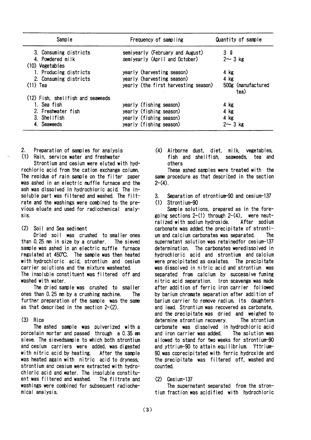| Sample                              | Frequency of sampling                | Quantity of sample         |
|-------------------------------------|--------------------------------------|----------------------------|
| 3. Consuming districts              | semiyearly (February and August)     | 3 <sub>2</sub>             |
| 4. Powdered milk<br>(10) Vegetables | semiyearly (April and October)       | $2 \sim 3$ kg              |
| 1. Producing districts              | yearly (harvesting season)           | 4 kg                       |
| 2. Consuming districts              | yearly (harvesting season)           | $4$ kg                     |
| $(11)$ Tea                          | yearly (the first harvesting season) | 500g (manufactured<br>tea) |
| (12) Fish, shellfish and seaweeds   |                                      |                            |
| 1. Sea fish                         | yearly (fishing season)              | 4 kg                       |
| 2. Freshwater fish                  | yearly (fishing season)              | 4 kg                       |
| 3. Shellfish                        | yearly (fishing season)              | 4 kg                       |
| 4. Seaweeds                         | yearly (fishing season)              | $2 \sim 3$ kg              |

 $2.$ Preparation of samples for analysis (1) Rain, service water and freshwater

Strontium and cesium were eluted with hydrochloric acid from the cation exchange column. The residue of rain sample on the filter paper was ashed in an electric muffle furnace and the ash was dissolved in hydrochloric acid. The insoluble part was filtered and washed. The filtrate and the washings were combined to the previous eluate and used for radiochemical analysis.

 $(2)$ Soil and Sea sediment

Dried soil was crushed to smaller ones than 0.25 mm in size by a crusher. The sieved sample was ashed in an electric muffle furnace regulated at 450°C. The sample was then heated with hydrochloric acid, strontium and cesium carrier solutions and the mixture washeated. The insoluble constituent was filtered off and washed with water.

The dried sample was crushed to smaller ones than 0.25 mm by a crushing machine. The further preparation of the sample was the same as that described in the section  $2-(2)$ .

#### (3) Rice

The ashed sample was pulverized with a porcelain mortar and passed through a 0.35 mm sieve. The sievedsample to which both strontium and cesium carriers were added, was digested with nitric acid by heating. After the sample was heated again with nitric acid to dryness, strontium and cesium were extracted with hydrochloric acid and water. The insoluble constituent was filtered and washed. The filtrate and washings were combined for subsequent radiochemical analysis.

(4) Airborne dust, diet, milk, vegetables, fish and shellfish, seaweeds, tea and others

These ashed samples were treated with the same procedure as that described in the section  $2-(4)$ .

3. Separation of strontium-90 and cesium-137  $(1)$  Strontium-90

Sample solutions, prepared as in the foregoing sections  $2-(1)$  through  $2-(4)$ , were neutralized with sodium hydroxide. After sodium carbonate was added the precipitate of strontium and calcium carbonates was separated. <u>The</u> supernatant solution was retained for cesium-137 determination. The carbonates weredissolved in hydrochloric acid and strontium and calcium were precipitated as oxalates. The precipitate was dissolved in nitric acid and strontium was separated from calcium by successive fuming nitric acid separation. Iron scavenge was made after addition of ferric iron carrier followed by barium chromate separation after addition of barium carrier to remove radium, its daughters and lead. Strontium was recovered as carbonate. and the precipitate was dried and weighed to determine strontium recovery. The strontium carbonate was dissolved in hydrochloric acid and iron carrier was added. The solution was allowed to stand for two weeks for strontium-90 and yttrium-90 to attain equilibrium Yttrium-90 was coprecipitated with ferric hydroxide and the precipitate was filtered off, washed and counted.

#### $(2)$  Cesium-137

The supernatant separated from the strontium fraction was acidified with hydrochloric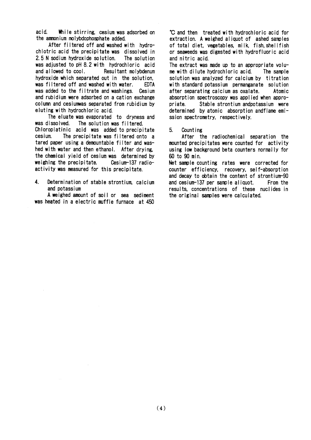acid. While stirring, cesium was adsorbed on the ammonium molybdophosphate added.

After filtered off and washed with hydrochlotric acid the precipitate was dissolved in 2.5 N sodium hydroxide solution. The solution was adjusted to pH 8.2 with hydrochloric acid and allowed to cool. Resultant molybdenum hydroxide which separated out in the solution. was filtered off and washed with water. **FDTA** was added to the filtrate and washings. Cesium and rubidium were adsorbed on a cation exchange column and cesiumwas separated from rubidium by eluting with hydrochloric acid.

The eluate was evaporated to dryness and was dissolved. The solution was filtered. Chloroplatinic acid was added to precipitate cesium. The precipitate was filtered onto a tared paper using a demountable filter and washed with water and then ethanol. After drying, the chemical yield of cesium was determined by weighing the precipitate. Cesium-137 radioactivity was measured for this precipitate.

 $\overline{4}$ . Determination of stable strontium, calcium and potassium

A weighed amount of soil or sea sediment was heated in a electric muffle furnace at 450

C and then treated with hydrochloric acid for extraction. A weighed aliquot of ashed samples of total diet. vegetables, milk. fish.shellfish or seaweeds was digested with hydrofluoric acid and nitric acid.

The extract was made up to an appropriate volume with dilute hydrochloric acid. The sample solution was analyzed for calcium by titration with standard potassium permanganate solution after separating calcium as oxalate. Atomic absorption spectroscopy was applied when appropriate. Stable strontium andpotassium were determined by atomic absorption and flame emission spectrometry, respectively.

5. Counting

After the radiochemical separation the mounted precipitates were counted for activity using low background beta counters normally for 60 to 90 min.

Net sample counting rates were corrected for counter efficiency, recovery, self-absorption and decay to obtain the content of strontium-90 and cesium-137 per sample aliquot. From the results, concentrations of these nuclides in the original samples were calculated.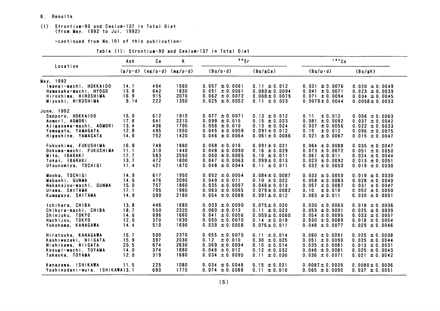- 6. Results
- (1) Strontium-90 and Cesium-137 in Total Diet<br>(from May. 1992 to Jul. 1992)

-continued from No. 101 of this publication-

| Table (1): Strontium-90 and Cesium-137 in Total Diet |  |  |  |  |
|------------------------------------------------------|--|--|--|--|
|------------------------------------------------------|--|--|--|--|

|                                | Ash  | Ca                                                  | $\mathbf{K}$ | $\cdot$ $\cdot$ Sr           |                    | 137Cs               |                     |  |
|--------------------------------|------|-----------------------------------------------------|--------------|------------------------------|--------------------|---------------------|---------------------|--|
| Location                       |      | $(g/p \cdot d)$ (mg/p $\cdot d$ ) (mg/p $\cdot d$ ) |              | $(Bq/p \cdot d)$<br>(Bq/gCa) |                    | $(Bq/p \cdot d)$    | (Bq/gK)             |  |
| May, 1992                      |      |                                                     |              |                              |                    |                     |                     |  |
| Iwanai-machi, HOKKAIDO         | 14.1 | 494                                                 | 1560         | $0.057 \pm 0.0061$           | $0.11 \pm 0.012$   | $0.031 \pm 0.0076$  | $0.020 \pm 0.0049$  |  |
| Hamasaka-machi, HYOGO          | 13.8 | 642                                                 | 1830         | $0.051 \pm 0.0061$           | $0.080 \pm 0.0094$ | $0.041 \pm 0.0071$  | $0.023 \pm 0.0039$  |  |
| Hiroshima, HIROSHIMA           | 16.9 | 915                                                 | 2070         | $0.062 \pm 0.0072$           | $0.068 \pm 0.0079$ | $0.071 \pm 0.0094$  | $0.034 \pm 0.0045$  |  |
| Miyoshi, HIROSHIMA             | 9.14 | 222                                                 | 1350         | $0.025 \pm 0.0052$           | $0.11 \pm 0.023$   | $0.0079 \pm 0.0044$ | $0.0058 \pm 0.0033$ |  |
| June, 1992                     |      |                                                     |              |                              |                    |                     |                     |  |
| Sapporo, HOKKAIDO              | 15.0 | 612                                                 | 1910         | $0.077 \pm 0.0071$           | $0.13 \pm 0.012$   | ± 0.012<br>0.11     | $0.056 \pm 0.0063$  |  |
| Aomori, AOMORI                 | 17.8 | 641                                                 | 2210         | $0.099 \pm 0.015$            | $0.15 \pm 0.023$   | $0.081 \pm 0.0092$  | $0.037 \pm 0.0042$  |  |
| Ajigasawa-machi, AOMORI        | 13.4 | 436                                                 | 1700         | $0.056 \pm 0.010$            | $0.13 \pm 0.024$   | $0.037 \pm 0.0056$  | $0.022 \pm 0.0033$  |  |
| Yamagata, YAMAGATA             | 12.8 | 495                                                 | 1550         | $0.045 \pm 0.0059$           | $0.091 \pm 0.012$  | 0.15<br>$\pm 0.012$ | $0.096 \pm 0.0075$  |  |
| Higashine, YAMAGATA            | 14.9 | 752                                                 | 1420         | $0.046 \pm 0.0064$           | $0.061 \pm 0.0086$ | $0.021 \pm 0.0067$  | $0.015 \pm 0.0047$  |  |
|                                |      |                                                     |              |                              |                    |                     |                     |  |
| Fukushima, FUKUSHIMA           | 16.9 | 748                                                 | 1860         | $0.068 \pm 0.016$            | $0.091 \pm 0.021$  | $0.064 \pm 0.0088$  | $0.035 \pm 0.0047$  |  |
| Ookuma-machi, FUKUSHIMA        | 11.1 | 310                                                 | 1440         | $0.048 \pm 0.0090$           | $0.16 \pm 0.029$   | $0.073 \pm 0.0072$  | $0.051 \pm 0.0050$  |  |
| Mito, IBARAKI                  | 17.7 | 583                                                 | 2550         | $0.060 \pm 0.0065$           | $0.10 \pm 0.011$   | $0.061 \pm 0.011$   | $0.024 \pm 0.0044$  |  |
| Tokai, IBARAKI                 | 13.7 | 472                                                 | 1800         | $0.047 \pm 0.0063$           | $0.099 \pm 0.013$  | $0.023 \pm 0.0092$  | $0.013 \pm 0.0051$  |  |
| Utsunomiya, TOCHIGI            | 11.4 | 421                                                 | 1670         | $0.048 \pm 0.0044$           | $0.11 \pm 0.011$   | $0.032 \pm 0.0050$  | $0.019 \pm 0.0030$  |  |
|                                |      |                                                     |              |                              |                    |                     |                     |  |
| Mooka. TOCHIGI                 | 14.9 | 617                                                 | 1950         | $0.052 \pm 0.0054$           | $0.084 \pm 0.0087$ | $0.032 \pm 0.0050$  | $0.019 \pm 0.0030$  |  |
| Mabashi. GUNMA                 | 14.6 | 476                                                 | 2090         | $0.049 \pm 0.011$            | $0.10 \pm 0.022$   | $0.058 \pm 0.0083$  | $0.028 \pm 0.0040$  |  |
| Nakanojou-machi, GUNMA         | 15.0 | 757                                                 | 1860         | $0.035 \pm 0.0097$           | $0.046 \pm 0.013$  | $0.057 \pm 0.0087$  | $0.031 \pm 0.0047$  |  |
| Urawa, SAITAMA                 | 17.1 | 795                                                 | 1960         | $0.063 \pm 0.0065$           | $0.079 \pm 0.0082$ | $0.10 \pm 0.010$    | $0.052 \pm 0.0050$  |  |
| Kumagaya, SAITAMA              | 14.9 | 590                                                 | 2160         | $0.054 \pm 0.0068$           | $0.091 \pm 0.012$  | $0.065 \pm 0.011$   | $0.030 \pm 0.0051$  |  |
| Ichihara, CHIBA                | 13.8 | 446                                                 | 1680         | $0.033 \pm 0.0090$           | $0.075 \pm 0.020$  | $0.030 \pm 0.0060$  | $0.018 \pm 0.0036$  |  |
| Chikura-machi, CHIBA           | 18.7 | 550                                                 | 2320         | $0.060 \pm 0.013$            | $0.11 \pm 0.023$   | $0.059 \pm 0.0091$  | $0.025 \pm 0.0039$  |  |
| Shinjuku, TOKYO                | 14.6 | 696                                                 | 1660         | $0.041 \pm 0.0056$           | $0.059 \pm 0.0080$ | $0.054 \pm 0.0095$  | $0.033 \pm 0.0057$  |  |
| Hachiiou. TOKYO                | 12.0 | 370                                                 | 1630         | $0.050 \pm 0.0070$           | $0.14 \pm 0.019$   | $0.030 \pm 0.0089$  | $0.018 \pm 0.0054$  |  |
| Yokohama. KANAGAWA             | 14.4 | 510                                                 | 1690         | $0.039 \pm 0.0058$           | $0.076 \pm 0.011$  | $0.048 \pm 0.0077$  | $0.029 \pm 0.0046$  |  |
| Hiratsuka, KANAGAWA            | 15.7 | 500                                                 | 2370         | $0.055 \pm 0.0070$           | $0.11 \pm 0.014$   | $0.060 \pm 0.0091$  | $0.025 \pm 0.0038$  |  |
| Kashiwazaki, NIIGATA           | 15.9 | 397                                                 | 2030         | 0.12<br>± 0.010              | $0.30 \pm 0.025$   | $0.051 \pm 0.0090$  | $0.025 \pm 0.0044$  |  |
| Nishikawa, NIIGATA             | 20.5 | 674                                                 | 2630         | $0.069 \pm 0.0094$           | $0.10 \pm 0.014$   | $0.035 \pm 0.0081$  | $0.013 \pm 0.0031$  |  |
| Kosugi-machi, TOYAMA           | 14.0 | 374                                                 | 1880         | $0.046 \pm 0.012$            | $0.12 \pm 0.032$   | $0.046 \pm 0.0081$  | $0.025 \pm 0.0043$  |  |
| Takaoka, TOYAMA                | 12.0 | 319                                                 | 1680         | $0.034 \pm 0.0095$           | $0.11 \pm 0.030$   | $0.036 \pm 0.0071$  | $0.021 \pm 0.0042$  |  |
|                                |      |                                                     |              |                              |                    |                     |                     |  |
| Kanazawa, ISHIKAWA             | 11.5 | 225                                                 | 1080         | $0.034 \pm 0.0048$           | $0.15 \pm 0.021$   | $0.0087 \pm 0.0039$ | $0.0080 \pm 0.0036$ |  |
| Yoshinodani-mura, ISHIKAWA13.1 |      | 693                                                 | 1770         | $0.074 \pm 0.0068$           | $0.11 \pm 0.010$   | $0.065 \pm 0.0090$  | $0.037 \pm 0.0051$  |  |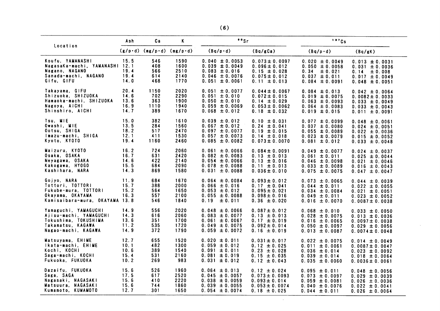|                                                                                                               | Ash                          | Сa                              | $\mathbf{K}$                                        | "Sr                                                                                                   |                                                                                                     | 137Cs                                                                                                    |                                                                                                             |
|---------------------------------------------------------------------------------------------------------------|------------------------------|---------------------------------|-----------------------------------------------------|-------------------------------------------------------------------------------------------------------|-----------------------------------------------------------------------------------------------------|----------------------------------------------------------------------------------------------------------|-------------------------------------------------------------------------------------------------------------|
| Location                                                                                                      |                              |                                 | $(g/p \cdot d)$ (mg/p $\cdot d$ ) (mg/p $\cdot d$ ) | $(Bq/p \cdot d)$                                                                                      | (Bq/gCa)                                                                                            | $(Bq/p \cdot d)$                                                                                         | (Bq/gK)                                                                                                     |
| Koufu. YAMANASHI<br>NagasaKa-machi, YAMANASHI 12.1<br>Nagano, NAGANO<br>Sanada-machi, NAGANO                  | 15.5<br>19.4<br>19.4         | 546<br>408<br>566<br>614        | 1590<br>1600<br>2510<br>2140                        | $0.040 \pm 0.0053$<br>$0.039 \pm 0.0049$<br>$0.083 \pm 0.016$<br>$0.046 \pm 0.0076$                   | $0.073 \pm 0.0097$<br>$0.096 \pm 0.012$<br>$0.15 \pm 0.028$<br>$0.075 \pm 0.012$                    | $0.020 \pm 0.0049$<br>$0.050 \pm 0.0058$<br>0.34<br>$\pm 0.021$<br>$0.037 \pm 0.011$                     | $0.013 \pm 0.0031$<br>$0.031 \pm 0.0036$<br>0.14<br>± 0.008<br>$0.017 \pm 0.0049$                           |
| Gifu, GIFU                                                                                                    | 14.0                         | 468                             | 1770                                                | $0.051 \pm 0.0061$                                                                                    | $0.11 \pm 0.013$                                                                                    | $0.084 \pm 0.0091$                                                                                       | $0.048 \pm 0.0051$                                                                                          |
| Takayama, GIFU                                                                                                | 20.4                         | 1150                            | 2020                                                | $0.051 \pm 0.0077$                                                                                    | $0.044 \pm 0.0067$                                                                                  | $0.084 \pm 0.013$                                                                                        | $0.042 \pm 0.0064$                                                                                          |
| Shizuoka, SHIZUOKA                                                                                            | 14.6                         | 702                             | 2290                                                | $0.051 \pm 0.010$                                                                                     | $0.072 \pm 0.015$                                                                                   | $0.019 \pm 0.0075$                                                                                       | $0.0082 \pm 0.0033$                                                                                         |
| Hamaoka-machi, SHIZUOKA                                                                                       | 13.6                         | 363                             | 1900                                                | $0.050 \pm 0.010$                                                                                     | $0.14 \pm 0.029$                                                                                    | $0.063 \pm 0.0093$                                                                                       | $0.033 \pm 0.0049$                                                                                          |
| Nagoya, AICHI                                                                                                 | 16.9                         | 1110                            | 1940                                                | $0.059 \pm 0.0069$                                                                                    | $0.053 \pm 0.0062$                                                                                  | $0.064 \pm 0.0083$                                                                                       | $0.033 \pm 0.0043$                                                                                          |
| Shinshiro, AICHI                                                                                              | 14.7                         | 389                             | 1670                                                | $0.068 \pm 0.012$                                                                                     | $0.18 \pm 0.032$                                                                                    | $0.019 \pm 0.015$                                                                                        | $0.011 \pm 0.0091$                                                                                          |
| Tsu. MIE                                                                                                      | 15.0                         | 382                             | 1610                                                | $0.039 \pm 0.012$                                                                                     | $0.10 \pm 0.031$                                                                                    | $0.077 \pm 0.0099$                                                                                       | $0.048 \pm 0.0061$                                                                                          |
| Owashi, MIE                                                                                                   | 13.5                         | 284                             | 1560                                                | $0.067 \pm 0.012$                                                                                     | $0.24 \pm 0.041$                                                                                    | $0.037 \pm 0.0080$                                                                                       | $0.024 \pm 0.0051$                                                                                          |
| Ootsu, SHIGA                                                                                                  | 18.2                         | 517                             | 2470                                                | $0.097 \pm 0.0077$                                                                                    | $0.19 \pm 0.015$                                                                                    | $0.055 \pm 0.0089$                                                                                       | $0.022 \pm 0.0036$                                                                                          |
| Imazu-machi, SHIGA                                                                                            | 12.1                         | 411                             | 1530                                                | $0.057 \pm 0.0073$                                                                                    | $0.14 \pm 0.018$                                                                                    | $0.023 \pm 0.0079$                                                                                       | $0.015 \pm 0.0052$                                                                                          |
| Kyoto, KYOTO                                                                                                  | 19.4                         | 1160                            | 2460                                                | $0.085 \pm 0.0082$                                                                                    | $0.073 \pm 0.0070$                                                                                  | $0.081 \pm 0.012$                                                                                        | $0.033 \pm 0.0048$                                                                                          |
| Maizuru, KYOTO                                                                                                | 16.2                         | 724                             | 2060                                                | $0.061 \pm 0.0066$                                                                                    | $0.084 \pm 0.0091$                                                                                  | $0.049 \pm 0.0077$                                                                                       | $0.024 \pm 0.0037$                                                                                          |
| Osaka, OSAKA                                                                                                  | 16.7                         | 631                             | 2420                                                | $0.082 \pm 0.0083$                                                                                    | $0.13 \pm 0.013$                                                                                    | $0.061 \pm 0.011$                                                                                        | $0.025 \pm 0.0044$                                                                                          |
| Neyagawa, OSAKA                                                                                               | 14.6                         | 422                             | 2140                                                | $0.054 \pm 0.0066$                                                                                    | $0.13 \pm 0.016$                                                                                    | $0.046 \pm 0.0098$                                                                                       | $0.021 \pm 0.0046$                                                                                          |
| Kakogawa, HYOGO                                                                                               | 15.5                         | 684                             | 2090                                                | $0.078 \pm 0.0088$                                                                                    | $0.11 \pm 0.013$                                                                                    | $0.033 \pm 0.0089$                                                                                       | $0.016 \pm 0.0043$                                                                                          |
| Kashihara, NARA                                                                                               | 14.3                         | 869                             | 1580                                                | $0.031 \pm 0.0088$                                                                                    | $0.036 \pm 0.010$                                                                                   | $0.075 \pm 0.0075$                                                                                       | $0.047 \pm 0.0047$                                                                                          |
| Gojyo, NARA<br>Tottori, TOTTORI<br>Fukube-mura, TOTTORI<br>Okayama, OKAYAMA<br>Kamisaibara-mura, OKAYAMA 13.8 | 11.9<br>15.7<br>15.2<br>16.3 | 684<br>388<br>564<br>557<br>546 | 1670<br>2000<br>1650<br>2100<br>1840                | $0.064 \pm 0.0084$<br>$0.066 \pm 0.016$<br>$0.053 \pm 0.012$<br>$0.055 \pm 0.0088$<br>0.19<br>± 0.011 | $0.093 \pm 0.012$<br>$0.17 \pm 0.041$<br>$0.095 \pm 0.021$<br>$0.098 \pm 0.016$<br>$0.36 \pm 0.020$ | $0.073 \pm 0.0065$<br>$0.044 \pm 0.011$<br>$0.034 \pm 0.0084$<br>$0.049 \pm 0.011$<br>$0.016 \pm 0.0070$ | $0.044 \pm 0.0039$<br>$0.022 \pm 0.0055$<br>$0.021 \pm 0.0051$<br>$0.023 \pm 0.0052$<br>$0.0087 \pm 0.0038$ |
| Yamaguchi, YAMAGUCHI                                                                                          | 14.9                         | 556                             | 2020                                                | $0.048 \pm 0.0066$                                                                                    | $0.087 \pm 0.012$                                                                                   | $0.068 \pm 0.010$                                                                                        | $0.033 \pm 0.0050$                                                                                          |
| Ajisu-machi, YAMAGUCHI                                                                                        | 14.3                         | 616                             | 2060                                                | $0.083 \pm 0.0077$                                                                                    | $0.13 \pm 0.013$                                                                                    | $0.028 \pm 0.0075$                                                                                       | $0.013 \pm 0.0036$                                                                                          |
| Tokushima, TOKUSHIMA                                                                                          | 13.6                         | 351                             | 1700                                                | $0.061 \pm 0.0067$                                                                                    | $0.17 \pm 0.019$                                                                                    | $0.016 \pm 0.0065$                                                                                       | $0.0097 \pm 0.0038$                                                                                         |
| Takamatsu, KAGAWA                                                                                             | 11.2                         | 535                             | 1720                                                | $0.049 \pm 0.0075$                                                                                    | $0.092 \pm 0.014$                                                                                   | $0.050 \pm 0.0097$                                                                                       | $0.029 \pm 0.0056$                                                                                          |
| Nagao-machi, KAGAWA                                                                                           | 14.9                         | 372                             | 1790                                                | $0.059 \pm 0.0072$                                                                                    | $0.16 \pm 0.019$                                                                                    | $0.013 \pm 0.0087$                                                                                       | $0.0074 \pm 0.0048$                                                                                         |
| Matsuyama, EHIME                                                                                              | 12.7                         | 655                             | 1520                                                | $0.020 \pm 0.011$                                                                                     | $0.031 \pm 0.017$                                                                                   | $0.022 \pm 0.0075$                                                                                       | $0.014 \pm 0.0049$                                                                                          |
| Ikata-machi, EHIME                                                                                            | 10.1                         | 482                             | 1300                                                | $0.059 \pm 0.012$                                                                                     | $0.12 \pm 0.025$                                                                                    | $0.011 \pm 0.0061$                                                                                       | $0.0087 \pm 0.0047$                                                                                         |
| Kochi, KOCHI                                                                                                  | 10.6                         | 389                             | 1540                                                | $0.091 \pm 0.011$                                                                                     | $0.23 \pm 0.028$                                                                                    | $0.036 \pm 0.014$                                                                                        | $0.023 \pm 0.0092$                                                                                          |
| Saga-machi, KOCHI                                                                                             | 15.4                         | 531                             | 2160                                                | $0.081 \pm 0.019$                                                                                     | $0.15 \pm 0.035$                                                                                    | $0.039 \pm 0.014$                                                                                        | $0.018 \pm 0.0064$                                                                                          |
| Fukuoka, FUKUOKA                                                                                              | 10.2                         | 269                             | 983                                                 | $0.031 \pm 0.012$                                                                                     | $0.12 \pm 0.043$                                                                                    | $0.035 \pm 0.0060$                                                                                       | $0.0036 \pm 0.0061$                                                                                         |
| Dazaifu, FUKUOKA                                                                                              | 15.6                         | 526                             | 1960                                                | $0.064 \pm 0.013$                                                                                     | $0.12 \pm 0.024$                                                                                    | $0.095 \pm 0.011$                                                                                        | $0.048 \pm 0.0056$                                                                                          |
| Saga, SAGA                                                                                                    | 17.5                         | 617                             | 2520                                                | $0.045 \pm 0.0057$                                                                                    | $0.073 \pm 0.0093$                                                                                  | $0.073 \pm 0.0097$                                                                                       | $0.029 \pm 0.0039$                                                                                          |
| Nagasaki, NAGASAKI                                                                                            | 15.6                         | 410                             | 2220                                                | $0.038 \pm 0.0059$                                                                                    | $0.093 \pm 0.014$                                                                                   | $0.059 \pm 0.0081$                                                                                       | $0.026 \pm 0.0036$                                                                                          |
| Matsuura, NAGASAKI                                                                                            | 15.6                         | 744                             | 1860                                                | $0.039 \pm 0.0055$                                                                                    | $0.053 \pm 0.0074$                                                                                  | $0.040 \pm 0.0076$                                                                                       | $0.022 \pm 0.0041$                                                                                          |
| Kumamoto, KUMAMOTO                                                                                            | 12.7                         | 301                             | 1650                                                | $0.054 \pm 0.0074$                                                                                    | $0.18 \pm 0.025$                                                                                    | $0.044 \pm 0.011$                                                                                        | $0.026 \pm 0.0064$                                                                                          |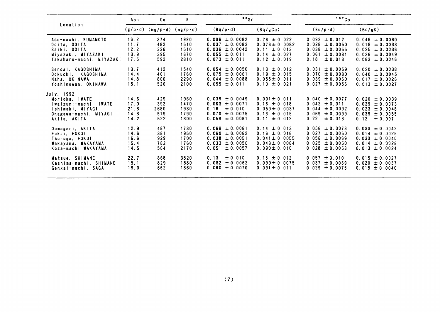|                          | Ash  | Сa                          | K    | $^{\bullet}$ $^{\circ}$ Sr |                    | 137Cs                 |                    |
|--------------------------|------|-----------------------------|------|----------------------------|--------------------|-----------------------|--------------------|
| Location                 |      | $(g/p-d)$ (mg/p·d) (mg/p·d) |      | $(Bq/p \cdot d)$           | (Bq/gCa)           | $(Bq/p \cdot d)$      | (Bq/gK)            |
| Aso-machi, KUMAMOTO      | 16.2 | 374                         | 1990 | $0.096 \pm 0.0082$         | $0.26 \pm 0.022$   | $0.092 \pm 0.012$     | $0.046 \pm 0.0060$ |
| Ooita. OOITA             | 11.7 | 482                         | 1510 | $0.037 \pm 0.0082$         | $0.076 \pm 0.0082$ | $0.028 \pm 0.0050$    | $0.018 \pm 0.0033$ |
| Saiki, OOITA             | 12.2 | 326                         | 1510 | $0.036 \pm 0.0042$         | $0.11 \pm 0.013$   | $0.038 \pm 0.0055$    | $0.025 \pm 0.0036$ |
| Miyazaki, MIYAZAKI       | 13.9 | 395                         | 1670 | $0.055 \pm 0.011$          | $0.14 \pm 0.027$   | 0.061<br>± 0.0081     | $0.036 \pm 0.0049$ |
| Takaharu-machi, MIYAZAKI | 17.5 | 592                         | 2810 | $0.073 \pm 0.011$          | $0.12 \pm 0.019$   | 0.18<br>$\pm 0.013$   | $0.063 \pm 0.0046$ |
| Sendai, KAGOSHIMA        | 13.7 | 412                         | 1540 | $0.054 \pm 0.0050$         | $0.13 \pm 0.012$   | $0.031 \pm 0.0059$    | $0.020 \pm 0.0038$ |
| Ookuchi, KAGOSHIMA       | 14.4 | 401                         | 1760 | $0.075 \pm 0.0061$         | $0.19 \pm 0.015$   | $0.070 \pm 0.0080$    | $0.040 \pm 0.0045$ |
| Naha, OKINAWA            | 14.8 | 806                         | 2290 | $0.044 \pm 0.0088$         | $0.055 \pm 0.011$  | $0.039 \pm 0.0060$    | $0.017 \pm 0.0026$ |
| Yoshinowan. OKINAWA      | 15.1 | 526                         | 2100 | $0.055 \pm 0.011$          | $0.10 \pm 0.021$   | 0.027<br>$\pm 0.0056$ | $0.013 \pm 0.0027$ |
| July, 1992               |      |                             |      |                            |                    |                       |                    |
| Morioka, IWATE           | 14.6 | 429                         | 1960 | $0.039 \pm 0.0049$         | $0.091 \pm 0.011$  | $0.040 \pm 0.0077$    | $0.020 \pm 0.0039$ |
| Iwaizumi-machi, IWATE    | 17.0 | 392                         | 1470 | $0.063 \pm 0.0071$         | $0.16 \pm 0.018$   | $0.042 \pm 0.011$     | $0.029 \pm 0.0073$ |
| Ishimaki, MIYAGI         | 21.8 | 2680                        | 1930 | ± 0.010<br>0.16            | $0.059 \pm 0.0037$ | $\pm 0.0092$<br>0.044 | $0.023 \pm 0.0048$ |
| Onagawa-machi, MIYAGI    | 14.8 | 519                         | 1790 | $0.070 \pm 0.0075$         | $0.13 \pm 0.015$   | 0.069<br>$\pm 0.0099$ | $0.039 \pm 0.0055$ |
| Akita. AKITA             | 14.2 | 522                         | 1800 | $0.058 \pm 0.0061$         | $0.11 \pm 0.012$   | 0.22<br>$\pm 0.013$   | 0.12<br>± 0.007    |
| Oomagari, AKITA          | 12.9 | 487                         | 1730 | $0.068 \pm 0.0061$         | $0.14 \pm 0.013$   | $0.056 \pm 0.0073$    | $0.033 \pm 0.0042$ |
| Fukui, FUKUI             | 14.6 | 381                         | 1950 | $0.060 \pm 0.0062$         | $0.16 \pm 0.016$   | $0.027 \pm 0.0050$    | $0.014 \pm 0.0025$ |
| Tsuruga, FUKUI           | 16.6 | 929                         | 1700 | $0.038 \pm 0.0051$         | $0.041 \pm 0.0055$ | $0.056 \pm 0.0069$    | $0.033 \pm 0.0040$ |
| Wakayama. WAKAYAMA       | 15.4 | 782                         | 1760 | $0.033 \pm 0.0050$         | $0.043 \pm 0.0064$ | $0.025 \pm 0.0050$    | $0.014 \pm 0.0028$ |
| Koza-machi WAKAYAMA      | 14.5 | 564                         | 2170 | 0.051<br>$\pm 0.0057$      | $0.090 \pm 0.010$  | $0.028 \pm 0.0053$    | $0.013 \pm 0.0024$ |
| Matsue. SHIMANE          | 22.7 | 868                         | 3820 | 0.13<br>± 0.010            | $0.15 \pm 0.012$   | $0.057 \pm 0.010$     | $0.015 \pm 0.0027$ |
| Kashima-machi, SHIMANE   | 15.1 | 829                         | 1880 | $0.082 \pm 0.0062$         | $0.099 \pm 0.0075$ | $0.037 \pm 0.0069$    | $0.020 \pm 0.0037$ |
| Genkai-machi, SAGA       | 19.0 | 662                         | 1860 | $0.060 \pm 0.0070$         | $0.091 \pm 0.011$  | $0.029 \pm 0.0075$    | $0.015 \pm 0.0040$ |
|                          |      |                             |      |                            |                    |                       |                    |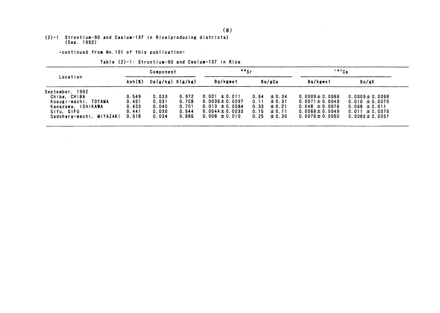# (2)-1 Strontium-90 and Cesium-137 in Rice(producing districts)<br>(Sep. 1992)

-continued from No. 101 of this publication-

 $\sim 10^{11}$ 

Table (2)-1: Strontium-90 and Cesium-137 in Rice

| Location                 |        | Component            |       | $"$ sr              |        |            | 137Cs               |                     |  |
|--------------------------|--------|----------------------|-------|---------------------|--------|------------|---------------------|---------------------|--|
|                          | Ash(X) | $Ca(g/kg)$ $K(g/kg)$ |       | Bq/kgwet            | Bg/gCa |            | Ba/kgwet            | Ba/gK               |  |
| September, 1992          |        |                      |       |                     |        |            |                     |                     |  |
| Chiba, CHIBA             | 0.549  | 0.033                | 0.972 | $0.021 \pm 0.011$   | 0.64   | $\pm 0.34$ | $0.0009 \pm 0.0066$ | $0.0009 \pm 0.0068$ |  |
| Kosugi-machi, TOYAMA     | 0.451  | 0.031                | 0.708 | $0.0035 \pm 0.0097$ | 0.11   | $\pm 0.31$ | $0.0071 \pm 0.0049$ | $0.010 \pm 0.0070$  |  |
| Kanazawa, ISHIKAWA       | 0.433  | 0.040                | 0.701 | $0.013 \pm 0.0084$  | 0.33   | $\pm 0.21$ | $0.048 \pm 0.0076$  | $0.068 \pm 0.011$   |  |
| Gifu. GIFU               | 0.441  | 0.030                | 0.644 | $0.0044 \pm 0.0033$ | 0.15   | $\pm 0.11$ | $0.0068 \pm 0.0049$ | $0.011 \pm 0.0076$  |  |
| Sadohara-machi, MIYAZAKI | 0.518  | 0.034                | 0.886 | $0.008 \pm 0.010$   | 0.25   | ± 0.30     | $0.0076 \pm 0.0050$ | $0.0086 \pm 0.0057$ |  |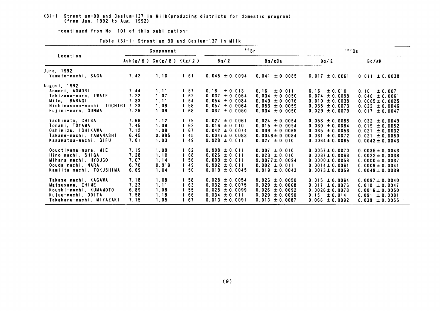## (3)-1 Strontium-90 and Cesium-137 in Milk(producing districts for domestic program)<br>(from Jun. 1992 to Aug, 1992)

-continued from No. 101 of this publication-

|                                                                                                                             | Component                            |                                       |                                      | "Sr                                                                                                             |                                                                                                                 | $137$ Cs                                                                                                        |                                                                                                                   |  |
|-----------------------------------------------------------------------------------------------------------------------------|--------------------------------------|---------------------------------------|--------------------------------------|-----------------------------------------------------------------------------------------------------------------|-----------------------------------------------------------------------------------------------------------------|-----------------------------------------------------------------------------------------------------------------|-------------------------------------------------------------------------------------------------------------------|--|
| Location                                                                                                                    |                                      |                                       | Ash(g/g) Ca(g/g) K(g/g)              | Bq / Q                                                                                                          | Bq/gCa                                                                                                          | Bq / Q                                                                                                          | Bq/gK                                                                                                             |  |
| June, 1992<br>Yamato-machi, SAGA                                                                                            | 7.42                                 | 1.10                                  | 1.61                                 | $0.045 \pm 0.0094$                                                                                              | 0.041<br>± 0.0085                                                                                               | $0.017 \pm 0.0061$                                                                                              | 0.011<br>± 0.0038                                                                                                 |  |
| August, 1992<br>Aomori, AOMORI<br>Takizawa-mura. IWATE<br>Mito. IBARAGI<br>Nishinasuno-machi. TOCHIGI<br>Fuiimi-mura, GUNMA | 7.44<br>7.22<br>7.33<br>7.23<br>7.29 | 1.11<br>1.07<br>1.11<br>1.08<br>1.09  | 1.57<br>1.62<br>1.54<br>1.58<br>1.68 | 0.18<br>$\pm 0.013$<br>0.037<br>± 0.0054<br>0.054<br>$\pm$ 0.0084<br>0.057<br>$\pm 0.0064$<br>0.037<br>± 0.0050 | 0.16<br>$\pm 0.011$<br>0.034<br>± 0.0050<br>0.049<br>± 0.0076<br>0.053<br>$\pm 0.0059$<br>0.034<br>$\pm 0.0050$ | $\pm 0.010$<br>0.16<br>$0.074 \pm 0.0098$<br>$0.010 \pm 0.0038$<br>$0.035 \pm 0.0073$<br>$0.029 \pm 0.0079$     | ± 0.007<br>0.10<br>$0.046 \pm 0.0061$<br>$0.0065 \pm 0.0025$<br>$0.022 \pm 0.0046$<br>$0.017 \pm 0.0047$          |  |
| Yachimata, CHIBA<br>Tonami, TOYAMA<br>Oshimizu, ISHIKAWA<br>Takane-machi, YAMANASHI<br>Kasamatsu-machi, GIFU                | 7.68<br>7.45<br>7.12<br>6.45<br>7.01 | 1.12<br>1.09<br>1.08<br>0.985<br>1.03 | 1.79<br>1.62<br>1.67<br>1.45<br>1.49 | $0.027 \pm 0.0061$<br>$0.016 \pm 0.010$<br>$0.042 \pm 0.0074$<br>$0.0047 \pm 0.0083$<br>$0.028 \pm 0.011$       | $0.024 \pm 0.0054$<br>$0.015 \pm 0.0094$<br>$0.039 \pm 0.0069$<br>$0.0048 \pm 0.0084$<br>$0.027 \pm 0.010$      | $0.058 \pm 0.0088$<br>$0.030 \pm 0.0084$<br>$0.035 \pm 0.0053$<br>$0.031 \pm 0.0072$<br>$0.0064 \pm 0.0065$     | $0.032 \pm 0.0049$<br>0.019<br>$\pm 0.0052$<br>0.021<br>$\pm 0.0032$<br>$0.021 \pm 0.0050$<br>$0.0043 \pm 0.0043$ |  |
| Oouctiyama-mura, MIE<br>Hino-machi, SHIGA<br>Mihara-machi, HYOUGO<br>Oouda-machi, NARA<br>Kamiita-machi, TOKUSHIMA          | 7.19<br>7.28<br>7.07<br>6.76<br>6.69 | 1.09<br>1.10<br>1.14<br>0.919<br>1.04 | 1.62<br>1.68<br>1.56<br>1.49<br>1.50 | $0.008 \pm 0.011$<br>$0.026 \pm 0.011$<br>$0.009 \pm 0.011$<br>$0.002 \pm 0.011$<br>$0.019 \pm 0.0045$          | $0.007 \pm 0.010$<br>$0.023 \pm 0.010$<br>$0.0077 \pm 0.0094$<br>$0.002 \pm 0.011$<br>$0.019 \pm 0.0043$        | $0.0057 \pm 0.0070$<br>$0.0037 \pm 0.0063$<br>$0.0000 \pm 0.0058$<br>$0.0014 \pm 0.0061$<br>$0.0073 \pm 0.0059$ | $0.0035 \pm 0.0043$<br>$0.0022 \pm 0.0038$<br>$0.0000 \pm 0.0037$<br>$0.0009 \pm 0.0041$<br>$0.0049 \pm 0.0039$   |  |
| Takase-machi, KAGAWA<br>Matsuyama, EHIME<br>Koushi-machi. KUMAMOTO<br>Kujuu-machi, OOITA<br>Takaharu-machi, MIYAZAKI        | 7.18<br>7.23<br>6.89<br>7.58<br>7.15 | 1.08<br>1.11<br>1.08<br>1.18<br>1.05  | 1.58<br>1.63<br>1.55<br>1.66<br>1.67 | $0.028 \pm 0.0054$<br>$0.032 \pm 0.0075$<br>0.028<br>± 0.0099<br>$0.034 \pm 0.011$<br>$0.013 \pm 0.0091$        | $0.026 \pm 0.0050$<br>0.029<br>$\pm 0.0068$<br>0.026<br>± 0.0092<br>0.029<br>± 0.0090<br>$0.013 \pm 0.0087$     | $0.015 \pm 0.0064$<br>$0.017 \pm 0.0076$<br>$0.0026 \pm 0.0078$<br>0.15<br>± 0.014<br>$0.066 \pm 0.0092$        | $0.0097 \pm 0.0040$<br>$0.010 \pm 0.0047$<br>$0.0016 \pm 0.0050$<br>$0.091 \pm 0.0081$<br>$0.039 \pm 0.0055$      |  |

Table (3)-1: Strontium-90 and Cesium-137 in Milk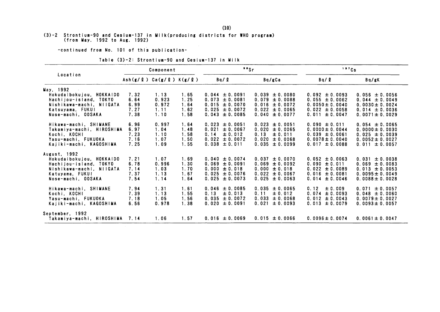#### (3)-2 Strontium-90 and Cesium-137 in Milk(producing districts for WHO program) (from May. 1992 to Aug. 1992)

-continued from No. 101 of this publication-

| Location                  |      | Component                                                                                                |      | "Sr                |                       | 137Cs               |                     |  |
|---------------------------|------|----------------------------------------------------------------------------------------------------------|------|--------------------|-----------------------|---------------------|---------------------|--|
|                           |      | $\text{Ash}(\textbf{g}/\textbf{l})$ $\text{Ca}(\textbf{g}/\textbf{l})$ $\text{K}(\textbf{g}/\textbf{l})$ |      | Bq/R<br>Bq/gCa     |                       | Bq / Q              | Bq/gK               |  |
| May, 1992                 |      |                                                                                                          |      |                    |                       |                     |                     |  |
| Hokudaibokujou, HOKKAIDO  | 7.32 | 1.13                                                                                                     | 1.65 | $0.044 \pm 0.0091$ | 0.039<br>$\pm 0.0080$ | $0.092 \pm 0.0093$  | $0.056 \pm 0.0056$  |  |
| Hachijou-island. TOKYO    | 6.64 | 0.923                                                                                                    | 1.25 | $0.073 \pm 0.0081$ | 0.079<br>± 0.0088     | $0.055 \pm 0.0062$  | $0.044 \pm 0.0049$  |  |
| Nishikawa-machi, NIIGATA  | 6.99 | 0.972                                                                                                    | 1.64 | $0.015 \pm 0.0070$ | 0.016<br>± 0.0072     | $0.0050 \pm 0.0040$ | $0.0030 \pm 0.0024$ |  |
| Katsuyama, FUKUI          | 7.27 | 1.11                                                                                                     | 1.62 | $0.025 \pm 0.0072$ | $0.022 \pm 0.0065$    | $0.022 \pm 0.0058$  | $0.014 \pm 0.0036$  |  |
| Nose-machi, OOSAKA        | 7.38 | 1.10                                                                                                     | 1.58 | $0.043 \pm 0.0085$ | 0.040<br>$\pm 0.0077$ | $0.011 \pm 0.0047$  | $0.0071 \pm 0.0029$ |  |
| Hikawa-machi, SHIMANE     | 6.96 | 0.997                                                                                                    | 1.64 | $0.023 \pm 0.0051$ | 0.023<br>± 0.0051     | $0.090 \pm 0.011$   | $0.054 \pm 0.0065$  |  |
| Takamiya-machi, HIROSHIMA | 6.97 | 1.04                                                                                                     | 1.48 | $0.021 \pm 0.0067$ | 0.020<br>± 0.0065     | $0.0000 \pm 0.0044$ | $0.0000 \pm 0.0030$ |  |
| Kochi, KOCHI              | 7.23 | 1.10                                                                                                     | 1.58 | ± 0.012<br>0.14    | ± 0.011<br>0.13       | $0.039 \pm 0.0061$  | $0.025 \pm 0.0039$  |  |
| Yasu-machi, FUKUOKA       | 7.16 | 1.07                                                                                                     | 1.50 | $0.022 \pm 0.0072$ | 0.020<br>± 0.0068     | $0.0078 \pm 0.0040$ | $0.0052 \pm 0.0027$ |  |
| Kajiki-machi, KAGOSHIMA   | 7.25 | 1.09                                                                                                     | 1.55 | $0.038 \pm 0.011$  | 0.035<br>± 0.0099     | $0.017 \pm 0.0088$  | $0.011 \pm 0.0057$  |  |
| August, 1992              |      |                                                                                                          |      |                    |                       |                     |                     |  |
| Hokudaibokujou, HOKKAIDO  | 7.21 | 1.07                                                                                                     | 1.69 | $0.040 \pm 0.0074$ | 0.037<br>± 0.0070     | $0.052 \pm 0.0063$  | 0.031<br>± 0.0038   |  |
| Hachijou-island, TOKYO    | 6.78 | 0.996                                                                                                    | 1.30 | $0.069 \pm 0.0091$ | 0.069<br>$\pm 0.0092$ | $0.090 \pm 0.011$   | $0.069 \pm 0.0083$  |  |
| Nishikawa-machi. NIIGATA  | 7.14 | 1.03                                                                                                     | 1.70 | $0.000 \pm 0.018$  | 0.000<br>± 0.018      | $0.022 \pm 0.0089$  | $0.013 \pm 0.0053$  |  |
| Katuyama, FUKUI           | 7.37 | 1.13                                                                                                     | 1.67 | $0.025 \pm 0.0076$ | $0.022 \pm 0.0067$    | $0.016 \pm 0.0081$  | $0.0095 \pm 0.0049$ |  |
| Nose-machi, OOSAKA        | 7.54 | 1.14                                                                                                     | 1.64 | $0.025 \pm 0.0073$ | 0.025<br>$\pm 0.0063$ | $0.014 \pm 0.0046$  | $0.0088 \pm 0.0028$ |  |
| Hikawa-machi, SHIMANE     | 7.94 | 1.31                                                                                                     | 1.61 | $0.046 \pm 0.0085$ | $0.035 \pm 0.0065$    | 0.12<br>± 0.009     | $0.071 \pm 0.0057$  |  |
| Kochi, KOCHI              | 7.39 | 1.13                                                                                                     | 1.55 | ± 0.013<br>0.13    | ± 0.012<br>0.11       | $0.074 \pm 0.0093$  | $0.048 \pm 0.0060$  |  |
| Yasu-machi. FUKUOKA       | 7.18 | 1.05                                                                                                     | 1.56 | $0.035 \pm 0.0072$ | 0.033<br>± 0.0068     | $0.012 \pm 0.0043$  | $0.0079 \pm 0.0027$ |  |
| Kaiiki-machi, KAGOSHIMA   | 6.56 | 0.978                                                                                                    | 1.38 | $0.020 \pm 0.0091$ | 0.021<br>$\pm 0.0093$ | $0.013 \pm 0.0079$  | $0.0093 \pm 0.0057$ |  |
| September, 1992           |      |                                                                                                          |      |                    |                       |                     |                     |  |
| Takamiya-machi, HIROSHIMA | 7.14 | 1.06                                                                                                     | 1.57 | $0.016 \pm 0.0069$ | $0.015 \pm 0.0066$    | $0.0096 \pm 0.0074$ | $0.0061 \pm 0.0047$ |  |

|  |  |  |  |  | Table (3)-2: Strontium-90 and Cesium-137 in Milk |  |
|--|--|--|--|--|--------------------------------------------------|--|
|--|--|--|--|--|--------------------------------------------------|--|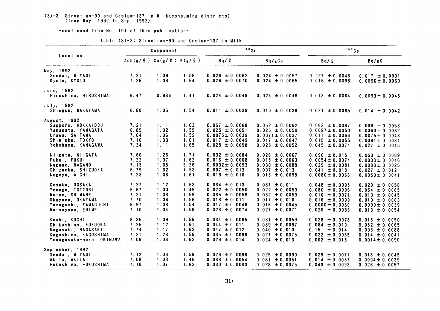# (3)-3 Strontium-90 and Cesium-137 in Milk(consuming districts)<br>(from May. 1992 to Sep. 1992)

-continued from No. 101 of this publication-

| Location                                                                                                            |                                              | Component                                    |                                              | $^{\circ}$ $^{\circ}$ Sr                                                                                                       |                                                                                                                               | 137Cs                                                                                                                             |                                                                                                                                   |  |
|---------------------------------------------------------------------------------------------------------------------|----------------------------------------------|----------------------------------------------|----------------------------------------------|--------------------------------------------------------------------------------------------------------------------------------|-------------------------------------------------------------------------------------------------------------------------------|-----------------------------------------------------------------------------------------------------------------------------------|-----------------------------------------------------------------------------------------------------------------------------------|--|
|                                                                                                                     | $Ash(g/g)$ Ca(g/l) K(g/l)                    |                                              |                                              | Bq / Q                                                                                                                         | Bq/gCa                                                                                                                        | Bq / Q                                                                                                                            | Bq/gK                                                                                                                             |  |
| May, 1992<br>Sendai, MIYAGI<br>Kyoto, KYOTO                                                                         | 7.21<br>7.26                                 | 1.09<br>1.08                                 | 1.58<br>1.64                                 | $0.026 \pm 0.0062$<br>$0.026 \pm 0.0070$                                                                                       | $0.024 \pm 0.0057$<br>$0.024 \pm 0.0065$                                                                                      | $0.027 \pm 0.0048$<br>$0.016 \pm 0.0098$                                                                                          | $0.017 \pm 0.0031$<br>$0.0096 \pm 0.0060$                                                                                         |  |
| June, 1992<br>Hiroshima, HIROSHIMA                                                                                  | 6.47                                         | 0.986                                        | 1.41                                         | $0.024 \pm 0.0048$                                                                                                             | $0.024 \pm 0.0048$                                                                                                            | $0.013 \pm 0.0064$                                                                                                                | $0.0093 \pm 0.0045$                                                                                                               |  |
| July, 1992<br>Shinguu, WAKAYAMA                                                                                     | 6.80                                         | 1.05                                         | 1.54                                         | $0.011 \pm 0.0039$                                                                                                             | $0.010 \pm 0.0038$                                                                                                            | $0.021 \pm 0.0065$                                                                                                                | $0.014 \pm 0.0042$                                                                                                                |  |
| August. 1992<br>Sapporo, HOKKAIDOU<br>Yamagata, YAMAGATA<br>Urawa, SAITAMA<br>Shinjuku, TOKYO<br>Yokohama, KANAGAWA | 7.21<br>6.85<br>7.04<br>7.10<br>7.34         | 1.11<br>1.02<br>1.06<br>1.03<br>1.11         | 1.63<br>1.55<br>1.52<br>1.61<br>1.65         | $0.057 \pm 0.0068$<br>$0.025 \pm 0.0051$<br>$0.0075 \pm 0.0039$<br>$0.017 \pm 0.0049$<br>$0.028 \pm 0.0058$                    | $0.052 \pm 0.0062$<br>$0.025 \pm 0.0050$<br>$0.0071 \pm 0.0037$<br>$0.017 \pm 0.0047$<br>$0.025 \pm 0.0052$                   | $0.063 \pm 0.0087$<br>$0.0097 \pm 0.0050$<br>$0.011 \pm 0.0066$<br>$0.015 \pm 0.0055$<br>$0.045 \pm 0.0074$                       | $0.039 \pm 0.0053$<br>$0.0063 \pm 0.0032$<br>$0.0075 \pm 0.0043$<br>$0.0091 \pm 0.0034$<br>$0.027 \pm 0.0045$                     |  |
| Niigata, NIIGATA<br>Fukui, FUKUI<br>Nagano, NAGANO<br>Shizuoka, SHIZUOKA<br>Nagoya, AICHI                           | 7.60<br>7.22<br>7.13<br>6.79<br>7.23         | 1.25<br>1.07<br>1.05<br>1.02<br>1.06         | 1.71<br>1.62<br>3.26<br>1.53<br>1.61         | $0.032 \pm 0.0084$<br>$0.016 \pm 0.0068$<br>$0.0032 \pm 0.0093$<br>$0.007 \pm 0.013$<br>$0.013 \pm 0.010$                      | $0.026 \pm 0.0067$<br>$0.015 \pm 0.0063$<br>$0.030 \pm 0.0088$<br>$0.007 \pm 0.013$<br>$0.013 \pm 0.0098$                     | $0.090 \pm 0.015$<br>$0.0054 \pm 0.0074$<br>$0.029 \pm 0.0081$<br>$0.041 \pm 0.018$<br>$0.0080 \pm 0.0066$                        | $0.053 \pm 0.0089$<br>$0.0033 \pm 0.0046$<br>$0.0088 \pm 0.0025$<br>$0.027 \pm 0.012$<br>$0.0050 \pm 0.0041$                      |  |
| Oosaka, OOSAKA<br>Yonago, TOTTORI<br>Matue, SHIMANE<br>Okayama, OKAYAMA<br>Yamaguchi, YAMAGUCHI<br>Matsuyama, EHIME | 7.27<br>6.67<br>7.21<br>7.70<br>6.97<br>7.10 | 1.12<br>1.00<br>1.08<br>1.06<br>1.03<br>1.04 | 1.63<br>1.49<br>1.59<br>1.56<br>1.54<br>1.58 | $0.034 \pm 0.013$<br>$0.022 \pm 0.0050$<br>$0.035 \pm 0.0058$<br>$0.018 \pm 0.011$<br>$0.017 \pm 0.0046$<br>$0.028 \pm 0.0074$ | 0.031<br>± 0.011<br>$0.022 \pm 0.0050$<br>$0.032 \pm 0.0053$<br>$0.017 \pm 0.010$<br>$0.016 \pm 0.0045$<br>$0.027 \pm 0.0071$ | $0.048 \pm 0.0095$<br>$0.080 \pm 0.0096$<br>$0.016 \pm 0.0071$<br>$0.016 \pm 0.0099$<br>$0.0000 \pm 0.0060$<br>$0.020 \pm 0.0086$ | $0.029 \pm 0.0058$<br>$0.054 \pm 0.0065$<br>$0.010 \pm 0.0045$<br>$0.010 \pm 0.0063$<br>$0.0000 \pm 0.0039$<br>$0.013 \pm 0.0054$ |  |
| Kochi, KOCHI<br>Chikushino, FUKUOKA<br>Nagasaki, NAGASAKI<br>Kagoshima, KAGOSHIMA<br>Yonagusuku-mura, OKINAWA       | 8.35<br>7.25<br>7.74<br>7.21<br>7.06         | 1.09<br>1.12<br>1.17<br>1.28<br>1.06         | 1.56<br>1.61<br>1.62<br>1.56<br>1.62         | $0.034 \pm 0.0065$<br>$0.044 \pm 0.011$<br>$0.047 \pm 0.012$<br>$0.035 \pm 0.0096$<br>$0.026 \pm 0.014$                        | $0.031 \pm 0.0059$<br>$0.039 \pm 0.0097$<br>$0.040 \pm 0.010$<br>$0.027 \pm 0.0075$<br>$0.024 \pm 0.013$                      | $0.028 \pm 0.0078$<br>$0.084 \pm 0.010$<br>0.15<br>$\pm 0.014$<br>$0.022 \pm 0.0065$<br>$0.002 \pm 0.015$                         | $0.018 \pm 0.0050$<br>$0.052 \pm 0.0065$<br>$0.093 \pm 0.0088$<br>$0.014 \pm 0.0041$<br>$0.0014 \pm 0.0090$                       |  |
| September, 1992<br>Sendai, MIYAGI<br>Akita, AKITA<br>Fukushima, FUKUSHIMA                                           | 7.12<br>7.08<br>7.18                         | 1.06<br>1.08<br>1.07                         | 1.59<br>1.46<br>1.62                         | $0.026 \pm 0.0096$<br>$0.033 \pm 0.0054$<br>$0.030 \pm 0.0080$                                                                 | $0.025 \pm 0.0090$<br>$0.031 \pm 0.0051$<br>$0.028 \pm 0.0075$                                                                | $0.029 \pm 0.0071$<br>$0.014 \pm 0.0057$<br>$0.043 \pm 0.0093$                                                                    | $0.018 \pm 0.0045$<br>$0.0094 \pm 0.0039$<br>$0.026 \pm 0.0057$                                                                   |  |

Table (3)-3: Strontium-90 and Cesium-137 in Milk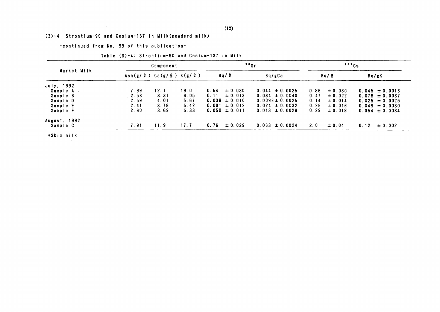#### (3)-4 Strontium-90 and Cesium-137 in Milk(powderd milk)

 $\mathcal{L}^{\text{max}}_{\text{max}}$  and  $\mathcal{L}^{\text{max}}_{\text{max}}$ 

-continued from No. 99 of this publication-

Table (3)-4: Strontium-90 and Cesium-137 in Milk

 $\sim 10^{11}$ 

| Market Milk<br>July, 1992 |      | Component                         |      |      |                   | $\cdot$ $\cdot$ |                     | 137Cs |             |      |                    |
|---------------------------|------|-----------------------------------|------|------|-------------------|-----------------|---------------------|-------|-------------|------|--------------------|
|                           |      | $Ash(g/g)$ Ca(g/ $g$ ) K(g/ $g$ ) |      |      | Bq / Q            |                 | Bq/gCa              |       | Bq / R      |      | Bq/gK              |
|                           |      |                                   |      |      |                   |                 |                     |       |             |      |                    |
| Sample A .                | 7.99 | 12.1                              | 19.0 | 0.54 | ± 0.030           |                 | $0.044 \pm 0.0025$  | 0.86  | $\pm 0.030$ |      | $0.045 \pm 0.0016$ |
| Sample B                  | 2.53 | 3.31                              | 6.05 | 0.11 | $\pm 0.013$       |                 | $0.034 \pm 0.0040$  | 0.47  | $\pm 0.022$ |      | $0.078 \pm 0.0037$ |
| Sample D                  | 2.59 | 4.01                              | 5.67 |      | $0.039 \pm 0.010$ |                 | $0.0096 \pm 0.0025$ | 0.14  | ± 0.014     |      | $0.025 \pm 0.0025$ |
| Sample E                  | 2.41 | 3.78                              | 5.42 |      | $0.091 \pm 0.012$ |                 | $0.024 \pm 0.0032$  | 0.26  | $\pm 0.016$ |      | $0.048 \pm 0.0030$ |
| Sample F                  | 2.60 | 3.69                              | 5.33 |      | $0.050 \pm 0.011$ |                 | $0.013 \pm 0.0029$  | 0.29  | ± 0.018     |      | $0.054 \pm 0.0034$ |
| August, 1992              |      |                                   |      |      |                   |                 |                     |       |             |      |                    |
| Sample C                  | 7.91 | 11.9                              | 17.7 | 0.76 | $\pm 0.029$       |                 | $0.063 \pm 0.0024$  | 2.0   | $\pm 0.04$  | 0.12 | $\pm 0.002$        |

\*Skim milk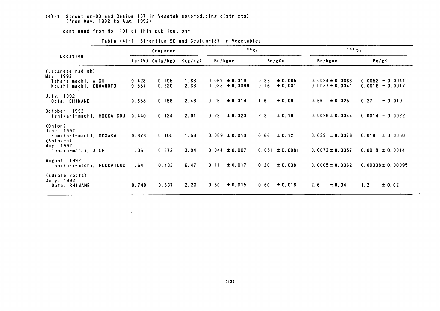#### (4)-1 Strontium-90 and Cesium-137in Vegetables(producing districts) (from May, 1992 to Aug*.* 1992)

-COntinued from No.10lof this publication-

 $\mathcal{L}^{\text{max}}_{\text{max}}$  and  $\mathcal{L}^{\text{max}}_{\text{max}}$ 

|                                                                                                  | Component      |                 |              | "Sr  |                                         |              |                                       | 137Cs |                                            |                             |                                                  |
|--------------------------------------------------------------------------------------------------|----------------|-----------------|--------------|------|-----------------------------------------|--------------|---------------------------------------|-------|--------------------------------------------|-----------------------------|--------------------------------------------------|
| Location                                                                                         |                | Ash(X) Ca(g/kg) | K(g/kg)      |      | Bq/kgwet                                |              | Bq/gCa                                |       | Bq/kgwet                                   |                             | Bq/gK                                            |
| (Japanese radish)<br>May, 1992<br>Tahara-machi, AICHI<br>Koushi-machi, KUMAMOTO                  | 0.428<br>0.557 | 0.195<br>0.220  | 1.63<br>2.38 |      | $0.069 \pm 0.013$<br>$0.035 \pm 0.0069$ | 0.35<br>0.16 | ± 0.065<br>± 0.031                    |       | $0.0084 \pm 0.0068$<br>$0.0037 \pm 0.0041$ |                             | $0.0052 \pm 0.0041$<br>$0.0016 \pm 0.0017$       |
| July, 1992<br>Oota, SHIMANE                                                                      | 0.558          | 0.158           | 2.43         | 0.25 | ± 0.014                                 | 1.6          | ± 0.09                                | 0.66  | ± 0.025                                    | 0.27                        | ± 0.010                                          |
| October, 1992<br>Ishikari-machi, HOKKAIDOU                                                       | 0.440          | 0.124           | 2.01         | 0.29 | ± 0.020                                 | 2.3          | ± 0.16                                |       | $0.0028 \pm 0.0044$                        |                             | $0.0014 \pm 0.0022$                              |
| (Onion)<br>June, 1992<br>Kumatori-machi, OOSAKA<br>(Spinach)<br>May, 1992<br>Tahara-machi, AICHI | 0.373<br>1.06  | 0.105<br>0.872  | 1.53<br>3.94 |      | $0.069 \pm 0.013$<br>$0.044 \pm 0.0071$ |              | $0.66 \pm 0.12$<br>$0.051 \pm 0.0081$ |       | $0.029 \pm 0.0076$<br>$0.0072 \pm 0.0057$  | 0.019                       | ± 0.0050<br>$0.0018 \pm 0.0014$                  |
| August, 1992<br>Ishikari-machi, HOKKAIDOU                                                        | 1.64           | 0.433           | 6.47         | 0.11 | ± 0.017                                 | 0.26         | ± 0.038                               |       | $0.0005 \pm 0.0062$                        |                             | $0.00008 \pm 0.00095$                            |
| (Edible roots)<br>July, 1992<br>Oota, SHIMANE                                                    | 0.740          | 0.837           | 2.20         | 0.50 | ± 0.015                                 | 0.60         | ± 0.018                               | 2.6   | ± 0.04                                     | 1.2<br>the committee of the | ± 0.02<br>the control of the control of the con- |

 $\mathcal{L}$ 

Table (4)-1: Strontium-90 and Cesium-137 in Vegetables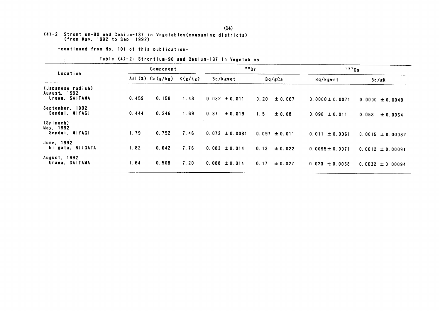# (4)-2 Strontium-90 and Cesium-137 in Vegetables (consuming districts)<br>(from May. 1992 to Sep. 1992)

-continued from No. 101 of this publication-

 $\sim$ 

 $\sim 10^{-11}$ 

| Location                                            |       | Component       |         | "s                  |                   | 137Cs               |                      |
|-----------------------------------------------------|-------|-----------------|---------|---------------------|-------------------|---------------------|----------------------|
|                                                     |       | Ash(X) Ca(g/kg) | K(g/kg) | Bq/kgwet            | Bq/gCa            | Bq/kgwet            | Bq/gK                |
| (Japanese radish)<br>August, 1992<br>Urawa, SAITAMA | 0.459 | 0.158           | 1.43    | $0.032 \pm 0.011$   | 0.20<br>± 0.067   | $0.0000 \pm 0.0071$ | $0.0000 \pm 0.0049$  |
| September, 1992<br>Sendai, MIYAGI                   | 0.444 | 0.246           | 1.69    | 0.37<br>$\pm 0.019$ | 1.5<br>± 0.08     | $0.098 \pm 0.011$   | 0.058<br>± 0.0064    |
| (Spinach)<br>May, 1992<br>Sendai, MIYAGI            | 1.79  | 0.752           | 7.46    | $0.073 \pm 0.0081$  | $0.097 \pm 0.011$ | $0.011 \pm 0.0061$  | $0.0015 \pm 0.00082$ |
| June, 1992<br>Niigata, NilGATA                      | 1.82  | 0.642           | 7.76    | $0.083 \pm 0.014$   | 0.13<br>± 0.022   | $0.0095 \pm 0.0071$ | $0.0012 \pm 0.00091$ |
| August. 1992<br>Urawa, SAITAMA                      | 1.64  | 0.508           | 7.20    | $0.088 \pm 0.014$   | 0.17<br>± 0.027   | $0.023 \pm 0.0068$  | $0.0032 \pm 0.00094$ |

#### Table (4)-2: Strontium-90 and Cesium-137 in Vegetables

 $\sim$   $\sim$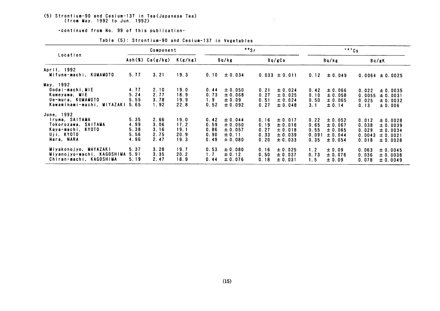## (5) Strontium-90 and Cesium-137 in Tea(Japanese Tea)<br>(from May. 1992 to Jun. 1992)

-continued from No. 99 of this publication-

 $\mathcal{L}^{\text{max}}_{\text{max}}$  , where  $\mathcal{L}^{\text{max}}_{\text{max}}$ 

|                                                                                                      | Component                            |                                      |                                      | "Sr                                  |                                                            |                                      |                                                         |                                       | 137Cs                                                           |                                            |                                                          |
|------------------------------------------------------------------------------------------------------|--------------------------------------|--------------------------------------|--------------------------------------|--------------------------------------|------------------------------------------------------------|--------------------------------------|---------------------------------------------------------|---------------------------------------|-----------------------------------------------------------------|--------------------------------------------|----------------------------------------------------------|
| Location                                                                                             |                                      | Ash(X) Ca(g/kg)                      | K(g/kg)                              |                                      | Bq/kg                                                      |                                      | Bq/gCa                                                  |                                       | Bq/kg                                                           |                                            | Bq/gK                                                    |
| April, 1992<br>Mifune-machi, KUMAMOTO                                                                | 5.77                                 | 3.21                                 | 19.3                                 | 0.10                                 | ± 0.034                                                    |                                      | $0.033 \pm 0.011$                                       | 0.12                                  | $\pm 0.049$                                                     |                                            | $0.0064 \pm 0.0025$                                      |
| May, 1992<br>Oodai-machi, MIE<br>Kameyama, MIE<br>Ue-mura, KUMAMOTO<br>Kawaminami-machi, MIYAZAKI    | 4.77<br>5.24<br>5.55<br>5.65         | 2.10<br>2.77<br>3.78<br>1.92         | 19.0<br>18.9<br>19.9<br>22.8         | 0.44<br>0.73<br>1.9<br>0.52          | ± 0.050<br>± 0.068<br>$\pm 0.09$<br>± 0.092                | 0.21<br>0.27<br>0.51<br>0.27         | ± 0.024<br>± 0.025<br>± 0.024<br>± 0.048                | 0.42<br>0.10<br>0.50<br>3.1           | $\pm 0.066$<br>± 0.058<br>± 0.065<br>± 0.14                     | 0.022<br>0.0055<br>0.025<br>0.13           | ± 0.0035<br>± 0.0031<br>$\pm 0.0032$<br>± 0.006          |
| June, 1992<br>Iruma, SAITAMA<br>Tokorozawa, SAITAMA<br>Kaya-machi, KYOTO<br>Uji. KYOTO<br>Nara, NARA | 5.35<br>4.99<br>5.38<br>5.56<br>4.96 | 2.66<br>3.06<br>3.16<br>2.75<br>2.47 | 19.0<br>17.2<br>19.1<br>20.9<br>19.3 | 0.42<br>0.59<br>0.86<br>0.90<br>0.49 | ± 0.044<br>± 0.050<br>$\pm 0.057$<br>± 0.11<br>$\pm 0.080$ | 0.16<br>0.19<br>0.27<br>0.33<br>0.20 | ± 0.017<br>± 0.016<br>± 0.018<br>± 0.039<br>$\pm 0.033$ | 0.22<br>0.65<br>0.55<br>0.091<br>0.35 | $\pm 0.052$<br>$\pm 0.067$<br>$\pm 0.065$<br>± 0.044<br>± 0.054 | 0.012<br>0.038<br>0.029<br>0.0043<br>0.018 | ± 0.0028<br>± 0.0039<br>± 0.0034<br>± 0.0021<br>± 0.0028 |
| Miyakonojyo, MAYAZAKI<br>Miyanojyo-machi, KAGOSHIMA<br>Chiran-machi, KAGOSHIMA                       | 5.37<br>5.91<br>5.19                 | 3.28<br>3.35<br>2.47                 | 19.7<br>20.2<br>18.9                 | 0.53<br>1.7<br>0.44                  | ± 0.080<br>± 0.12<br>$\pm 0.076$                           | 0.16<br>0.50<br>0.18                 | ± 0.025<br>± 0.037<br>± 0.031                           | 1.2<br>0.73<br>1.5                    | ± 0.09<br>± 0.076<br>± 0.09                                     | 0.063<br>0.036<br>0.078                    | ± 0.0045<br>± 0.0038<br>± 0.0049                         |

 $\sim$ 

#### Table (5): Strontium-90 and Cesium-137 in Vegetables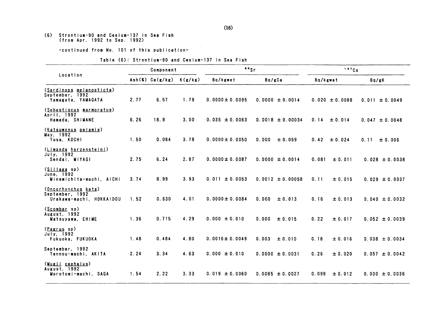## (6) Strontium-90 and Cesium-137 in Sea Fish<br>(from Apr. 1992 to Sep. 1992)

-continued from No. 101 of this publication-

#### Table (6): Strontium-90 and Cesium-137 in Sea Fish

|                                                                    | Component |                 |         | $"$ sr              |                      | 137Cs              |                    |  |
|--------------------------------------------------------------------|-----------|-----------------|---------|---------------------|----------------------|--------------------|--------------------|--|
| Location                                                           |           | Ash(X) Ca(g/kg) | K(g/kg) | Bq/kgwet            | Bq/gCa               | Bq/kgwet           | Bq/gK              |  |
| (Sardinops melanosticta)<br>September, 1992<br>Yamagata, YAMAGATA  | 2.77      | 6.57            | 1.79    | $0.0000 \pm 0.0095$ | $0.0000 \pm 0.0014$  | $0.020 \pm 0.0088$ | $0.011 \pm 0.0049$ |  |
| (Sebastiscus marmoratus)<br>April, 1992<br>Hamada, SHIMANE         | 6.26      | 18.9            | 3.00    | $0.035 \pm 0.0063$  | $0.0018 \pm 0.00034$ | ± 0.014<br>0.14    | $0.047 \pm 0.0048$ |  |
| (Katsuwonus pelamis)<br>May, 1992<br>Tosa, KOCHI                   | 1.50      | 0.084           | 3.78    | $0.0000 \pm 0.0050$ | 0.000<br>± 0.059     | 0.42<br>± 0.024    | 0.11<br>± 0.006    |  |
| ( <u>Limanda herzensteini</u> )<br>July, 1992<br>Sendai, MIYAGI    | 2.75      | 6.24            | 2.87    | $0.0000 \pm 0.0087$ | $0.0000 \pm 0.0014$  | 0.081<br>± 0.011   | $0.028 \pm 0.0038$ |  |
| ( <u>Sillaga</u> sp)<br>June, 1992<br>Minamichita-machi, AICHI     | 3.74      | 8.99            | 3.93    | $0.011 \pm 0.0053$  | $0.0012 \pm 0.00058$ | 0.11<br>± 0.015    | $0.029 \pm 0.0037$ |  |
| (Oncorhynchus keta)<br>September, 1992<br>Urakawa-machi, HOKKAIDOU | 1.52      | 0.630           | 4.01    | $0.0000 \pm 0.0084$ | 0.000<br>± 0.013     | 0.16<br>± 0.013    | $0.040 \pm 0.0032$ |  |
| (Scomber sp)<br>August, 1992<br>Matsuyama, EHIME                   | 1.36      | 0.715           | 4.29    | $0.000 \pm 0.010$   | 0.000<br>± 0.015     | 0.22<br>± 0.017    | $0.052 \pm 0.0039$ |  |
| ( <u>Pagrus</u> sp)<br>July, 1992<br>Fukuoka, FUKUOKA              | 1.48      | 0.484           | 4.80    | $0.0016 \pm 0.0049$ | 0.003<br>± 0.010     | 0.18<br>± 0.016    | $0.038 \pm 0.0034$ |  |
| September, 1992<br>Tennou-machi, AKITA                             | 2.24      | 3.34            | 4.63    | $0.000 \pm 0.010$   | $0.0000 \pm 0.0031$  | 0.26<br>± 0.020    | $0.057 \pm 0.0042$ |  |
| ( <u>Mugil</u> cephalus)<br>August. 1992<br>Morotomi-machi, SAGA   | 1.54      | 2.22            | 3.33    | $0.019 \pm 0.0060$  | $0.0085 \pm 0.0027$  | 0.099<br>± 0.012   | $0.030 \pm 0.0036$ |  |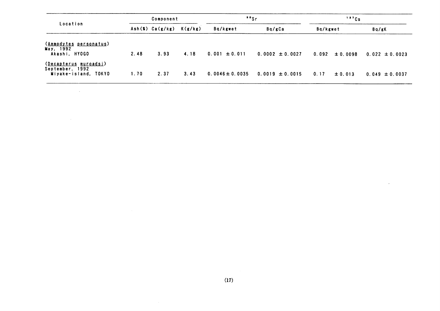| Location                                                         | Component |                 |         | "Sr                 |                     | 137Cs               |                    |  |
|------------------------------------------------------------------|-----------|-----------------|---------|---------------------|---------------------|---------------------|--------------------|--|
|                                                                  |           | Ash(X) Ca(g/kg) | K(g/kg) | Ba/kgwet            | Bq/gCa              | Bq/kgwet            | Bq/gK              |  |
| (Ammodytes personatus)<br>May, 1992<br>Akashi, HYOGO             | 2.48      | 3.93            | 4.18    | $0.001 \pm 0.011$   | $0.0002 \pm 0.0027$ | ± 0.0098<br>0.092   | $0.022 \pm 0.0023$ |  |
| (Decapterus muroadsi)<br>September, 1992<br>Miyake-island, TOKYO | 1.70      | 2.37            | 3.43    | $0.0046 \pm 0.0035$ | $0.0019 \pm 0.0015$ | 0.17<br>$\pm 0.013$ | $0.049 \pm 0.0037$ |  |

 $\mathcal{L}(\mathcal{L}^{\text{max}})$  and  $\mathcal{L}(\mathcal{L}^{\text{max}})$ 

 $\sim 10^{-11}$ 

 $\overline{\phantom{a}}$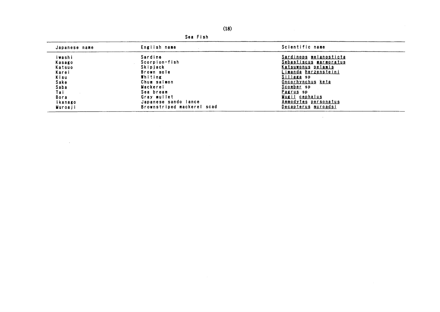|               | bearish                    |                               |
|---------------|----------------------------|-------------------------------|
| Japanese name | English name               | Scientific name               |
| Iwashi        | Sardine                    | <u>Sardinops melanosticta</u> |
| Kasago        | Scorpion-fish              | Sebastiscus marmoratus        |
| Katsuo        | Skipjack                   | Katsuwonus pelamis            |
| Karei         | Brown sole                 | <u>Limanda herzensteini</u>   |
| Kisu          | Whiting                    | Sillaga sp                    |
| Sake          | Chum salmon                | <u>Oncorhynchus keta</u>      |
| Saba          | Mackerel                   | Scomber sp                    |
| Tai           | Sea bream                  | Pagrus sp                     |
| <b>Bora</b>   | Gray mullet                | Mugil cephalus                |
| ikanago       | Japanese sando lance       | Ammodytes personatus          |
| Muroaji       | Brownstriped mackerel scad | Decapterus muroadsi           |

the control of the control of the

Coo Fich

 $\mathcal{L}^{\text{max}}_{\text{max}}$  and  $\mathcal{L}^{\text{max}}_{\text{max}}$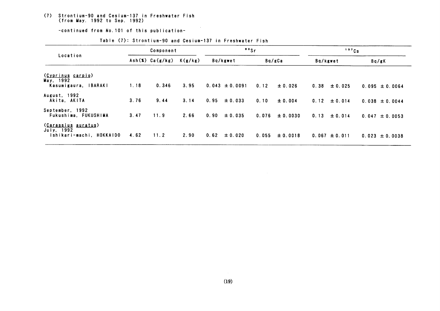#### (7) Strontium-90 and Cesium-137 in Freshwater Fish (from May. 1992 to Sep. 1992)

-continued from No. 101 of this publication-

|                                                                      | Component |                 |         | $"$ s |                    |       |              | 137Cs    |                   |  |                    |
|----------------------------------------------------------------------|-----------|-----------------|---------|-------|--------------------|-------|--------------|----------|-------------------|--|--------------------|
| Location                                                             |           | Ash(X) Ca(g/kg) | K(g/kg) |       | Bq/kgwet           |       | Bq/gCa       | Bq/kgwet |                   |  | Bq/gK              |
| (Cyprinus carpio)<br>May, 1992<br><b>IBARAKI</b><br>Kasumigaura,     | 1.18      | 0.346           | 3.95    |       | $0.043 \pm 0.0091$ | 0.12  | ± 0.026      | 0.38     | $\pm 0.025$       |  | $0.095 \pm 0.0064$ |
| August, 1992<br>Akita, AKITA                                         | 3.76      | 9.44            | 3.14    | 0.95  | ± 0.033            | 0.10  | ± 0.004      | 0.12     | $\pm 0.014$       |  | $0.038 \pm 0.0044$ |
| September, 1992<br>Fukushima, FUKUSHIMA                              | 3.47      | 11.9            | 2.66    | 0.90  | $\pm 0.035$        | 0.076 | $\pm 0.0030$ | 0.13     | $\pm 0.014$       |  | $0.047 \pm 0.0053$ |
| <u>(Carassius auratus)</u><br>July, 1992<br>Ishikari-machi, HOKKAIDO | 4.62      | 11.2            | 2.90    | 0.62  | ± 0.020            | 0.055 | $\pm 0.0018$ |          | $0.067 \pm 0.011$ |  | $0.023 \pm 0.0038$ |

#### Table (7): Strontium-90 and Cesium-137 in Freshwater Fish

 $\sim 10^{-1}$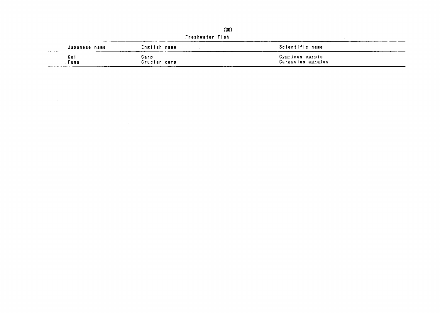|                 | (20)         |                          |  |  |  |  |
|-----------------|--------------|--------------------------|--|--|--|--|
| Freshwater Fish |              |                          |  |  |  |  |
| Japanese name   | English name | Scientific name          |  |  |  |  |
| Koi             | Carp         | <u>Cyprinus carpio</u>   |  |  |  |  |
| Funa            | Crucian carp | <u>Carassius auratus</u> |  |  |  |  |

 $\label{eq:2.1} \frac{1}{\sqrt{2}}\int_{\mathbb{R}^3}\frac{1}{\sqrt{2}}\left(\frac{1}{\sqrt{2}}\right)^2\frac{1}{\sqrt{2}}\left(\frac{1}{\sqrt{2}}\right)^2\frac{1}{\sqrt{2}}\left(\frac{1}{\sqrt{2}}\right)^2\frac{1}{\sqrt{2}}\left(\frac{1}{\sqrt{2}}\right)^2\frac{1}{\sqrt{2}}\left(\frac{1}{\sqrt{2}}\right)^2\frac{1}{\sqrt{2}}\frac{1}{\sqrt{2}}\frac{1}{\sqrt{2}}\frac{1}{\sqrt{2}}\frac{1}{\sqrt{2}}\frac{1}{\sqrt{2}}$ 

 $\label{eq:2.1} \frac{1}{\sqrt{2}}\int_{\mathbb{R}^3}\frac{1}{\sqrt{2}}\left(\frac{1}{\sqrt{2}}\right)^2\frac{1}{\sqrt{2}}\left(\frac{1}{\sqrt{2}}\right)^2\frac{1}{\sqrt{2}}\left(\frac{1}{\sqrt{2}}\right)^2\frac{1}{\sqrt{2}}\left(\frac{1}{\sqrt{2}}\right)^2\frac{1}{\sqrt{2}}\left(\frac{1}{\sqrt{2}}\right)^2\frac{1}{\sqrt{2}}\frac{1}{\sqrt{2}}\frac{1}{\sqrt{2}}\frac{1}{\sqrt{2}}\frac{1}{\sqrt{2}}\frac{1}{\sqrt{2}}$ 

 $\label{eq:2.1} \mathcal{L}(\mathcal{L}^{\mathcal{L}}_{\mathcal{L}}(\mathcal{L}^{\mathcal{L}}_{\mathcal{L}})) \leq \mathcal{L}(\mathcal{L}^{\mathcal{L}}_{\mathcal{L}}(\mathcal{L}^{\mathcal{L}}_{\mathcal{L}})) \leq \mathcal{L}(\mathcal{L}^{\mathcal{L}}_{\mathcal{L}}(\mathcal{L}^{\mathcal{L}}_{\mathcal{L}}))$ 

 $\label{eq:2.1} \mathcal{L}(\mathcal{L}^{\text{max}}_{\mathcal{L}}(\mathcal{L}^{\text{max}}_{\mathcal{L}}),\mathcal{L}^{\text{max}}_{\mathcal{L}}(\mathcal{L}^{\text{max}}_{\mathcal{L}}))$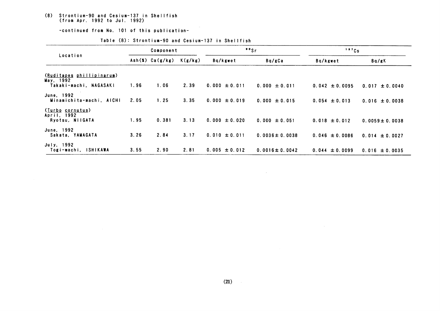#### (8) Strontium-90 and Cesium-137 in Shellfish (fro爪 Apr.1992 toJul.1992)

-continued from No. 101 of this publication-

|                                                    | Component |                 |         |                   | $\cdot$ $\cdot$ Sr  | 137Cs              |                     |  |
|----------------------------------------------------|-----------|-----------------|---------|-------------------|---------------------|--------------------|---------------------|--|
| Location                                           |           | Ash(X) Ca(g/kg) | K(g/kg) | Bq/kgwet          | Bq/gCa              | Bq/kgwet           | Bq/gK               |  |
| (Ruditapes phillipinarum)<br>May, 1992             |           |                 |         |                   |                     |                    |                     |  |
| Takaki-machi. NAGASAKI                             | 1.96      | 1.06            | 2.39    | $0.000 \pm 0.011$ | $0.000 \pm 0.011$   | $0.042 \pm 0.0095$ | $0.017 \pm 0.0040$  |  |
| June, 1992<br>Minamichita-machi, AICHI             | 2.05      | 1.25            | 3.35    | $0.000 \pm 0.019$ | $0.000 \pm 0.015$   | $0.054 \pm 0.013$  | $0.016 \pm 0.0038$  |  |
| (Turbo cornutus)<br>April, 1992<br>Ryotsu, NIIGATA | 1.95      | 0.381           | 3.13    | $0.000 \pm 0.020$ | $0.000 \pm 0.051$   | $0.018 \pm 0.012$  | $0.0059 \pm 0.0038$ |  |
| June, 1992<br>Sakata, YAMAGATA                     | 3.26      | 2.84            | 3.17    | $0.010 \pm 0.011$ | $0.0036 \pm 0.0038$ | $0.046 \pm 0.0086$ | $0.014 \pm 0.0027$  |  |
| July, 1992<br>Togi-machi, ISHIKAWA                 | 3.55      | 2.90            | 2.81    | $0.005 \pm 0.012$ | $0.0016 \pm 0.0042$ | $0.044 \pm 0.0099$ | $0.016 \pm 0.0035$  |  |

 $\sim 1000$ 

#### Table (8): Strontium-90 and Cesium-137 in Shellfish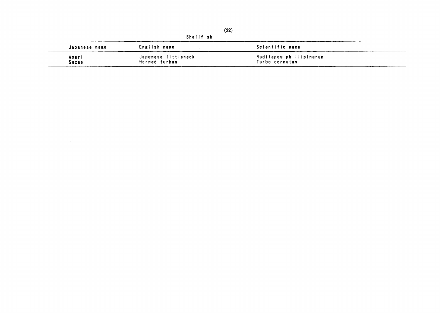|                |                                      | (22)                                             |  |  |  |  |  |  |  |  |
|----------------|--------------------------------------|--------------------------------------------------|--|--|--|--|--|--|--|--|
|                | Shellfish                            |                                                  |  |  |  |  |  |  |  |  |
| Japanese name  | English name                         | Scientific name                                  |  |  |  |  |  |  |  |  |
| Asari<br>Sazae | Japanese littleneck<br>Horned turban | Ruditapes phillipinarum<br><u>Turbo</u> cornutus |  |  |  |  |  |  |  |  |

 $\mathcal{L}^{\text{max}}_{\text{max}}$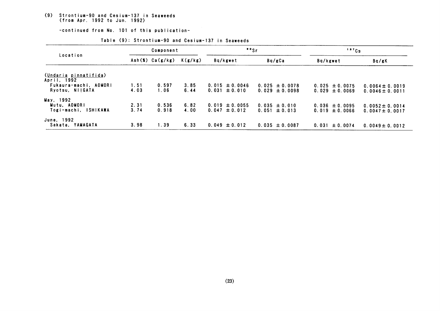### (9) Strontium-90 and Cesium-137 in Seaweeds<br>(from Apr. 1992 to Jun. 1992)

-continued from No. 101 of this publication-

| Location                                 | Component    |                 |              | $"$ s                                   |                                          | 137Cs                                    |                                            |
|------------------------------------------|--------------|-----------------|--------------|-----------------------------------------|------------------------------------------|------------------------------------------|--------------------------------------------|
|                                          |              | Ash(X) Ca(g/kg) | K(g/kg)      | Bq/kgwet                                | Bq/gCa                                   | Bq/kgwet                                 | Bq/gK                                      |
| (Undaria pinnatifida)<br>April. 1992     |              |                 |              |                                         |                                          |                                          |                                            |
| Fukaura-machi, AOMORI<br>Ryotsu, NIIGATA | 1.51<br>4.03 | 0.597<br>1.06   | 3.85<br>6.44 | $0.015 \pm 0.0046$<br>$0.031 \pm 0.010$ | $0.025 \pm 0.0078$<br>$0.029 \pm 0.0098$ | $0.025 \pm 0.0075$<br>$0.029 \pm 0.0069$ | $0.0064 \pm 0.0019$<br>$0.0046 \pm 0.0011$ |
| May, 1992                                |              |                 |              |                                         |                                          |                                          |                                            |
| Mutu, AOMORI<br>Togi-machi, ISHIKAWA     | 2.31<br>3.74 | 0.536<br>0.918  | 6.82<br>4.00 | $0.019 \pm 0.0055$<br>$0.047 \pm 0.012$ | $0.035 \pm 0.010$<br>$0.051 \pm 0.013$   | $0.036 \pm 0.0095$<br>$0.019 \pm 0.0066$ | $0.0052 \pm 0.0014$<br>$0.0047 \pm 0.0017$ |
| June, 1992<br>Sakata, YAMAGATA           | 3.98         | 1.39            | 6.33         | $0.049 \pm 0.012$                       | $0.035 \pm 0.0087$                       | $0.031 \pm 0.0074$                       | $0.0049 \pm 0.0012$                        |

Table (9): Strontium-90 and Cesium-137 in Seaweeds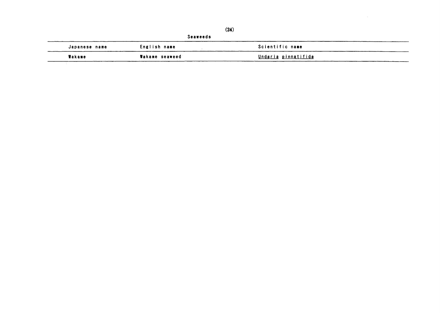|               |                | (24)                       |  |
|---------------|----------------|----------------------------|--|
|               |                | Seaweeds                   |  |
| Japanese name | English name   | Scientific name            |  |
| Wakame        | Wakame seaweed | <u>Undaria pinnatifida</u> |  |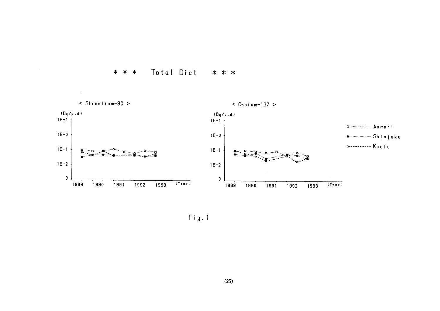



 $Fig. 1$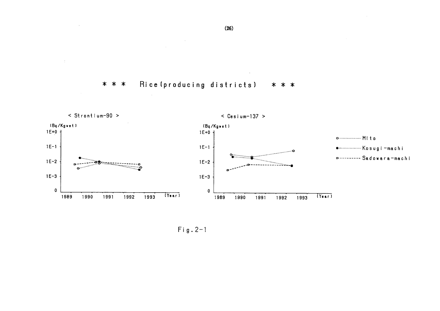Rice (producing districts) \* \* \* \* \* \*

 $\sim 10^7$ 

 $\mathcal{L}$ 

n.

 $\Delta \tau$ 



 $Fig. 2-1$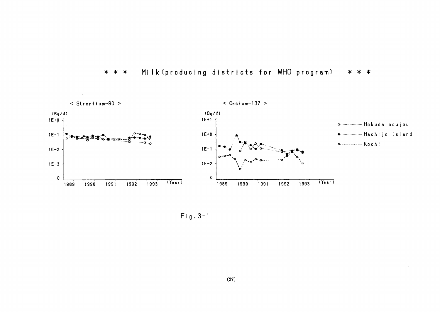



 $Fig. 3-1$ 

 $\sim$   $\sim$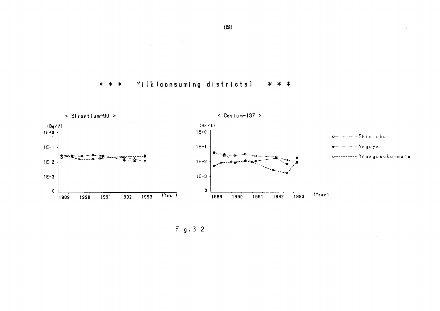



 $Fig. 3-2$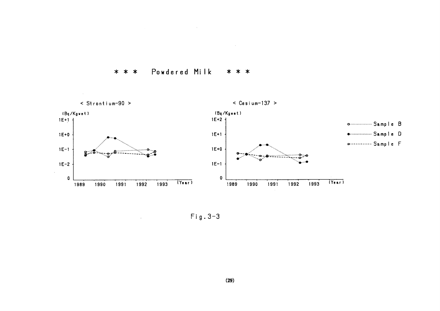$\sim 10^7$  $\sim$ 

Powdered Milk  $* * *$ \* \* \*



 $Fig. 3-3$ 

 $\mathcal{L}_{\mathcal{A}}$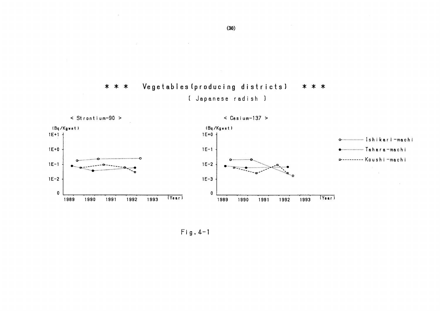

 $\sim 10$ 

 $\sim$   $\sim$ 



 $Fig. 4-1$ 

 $\sim 10^7$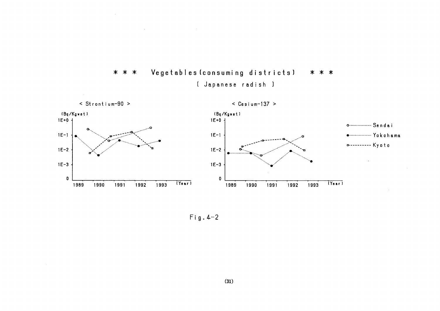



 $\mathcal{A}^{\mathcal{A}}$ 

 $Fig. 4-2$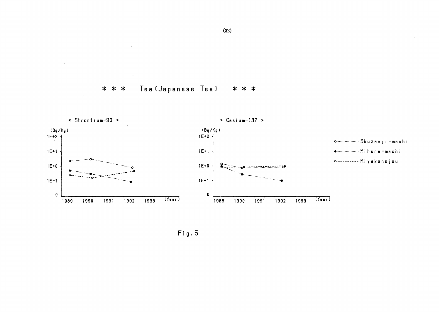Tea (Japanese Tea) \* \* \* \* \* \*

 $\mathcal{L}$ 



 $Fig. 5$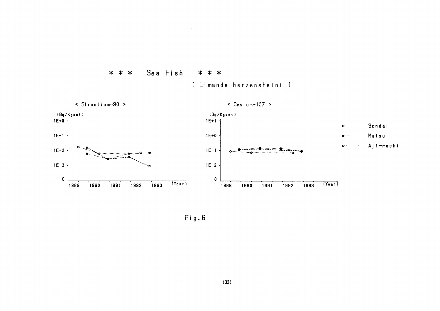

[ Limanda herzensteini ]

\* \* \*

 $Fig. 6$ 

Sea Fish

\* \* \*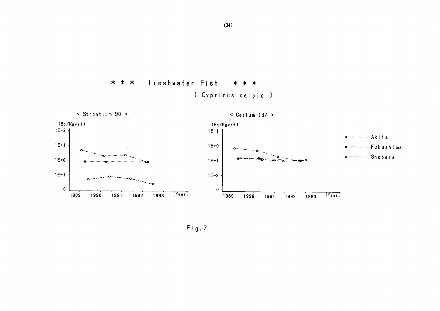

 $Fig.7$ 

 $\mathcal{A}$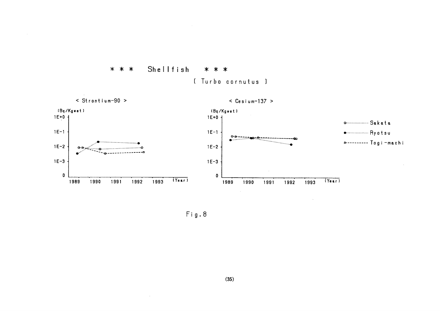





 $\sim$ 

 $Fig. 8$ 

 $\sim 10^7$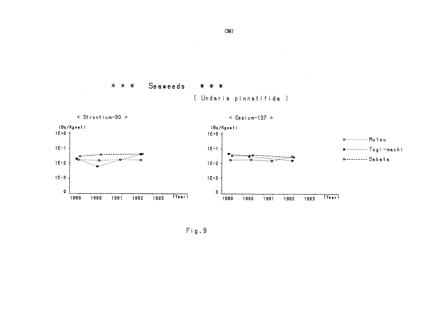

 $\sim$ 



 $\leq$  Strontium-90 >

 $\sim$ 

 $\leq$  Cesium-137 >

 $\sim 10^7$ 



 $\mathsf{Fig. 9}$